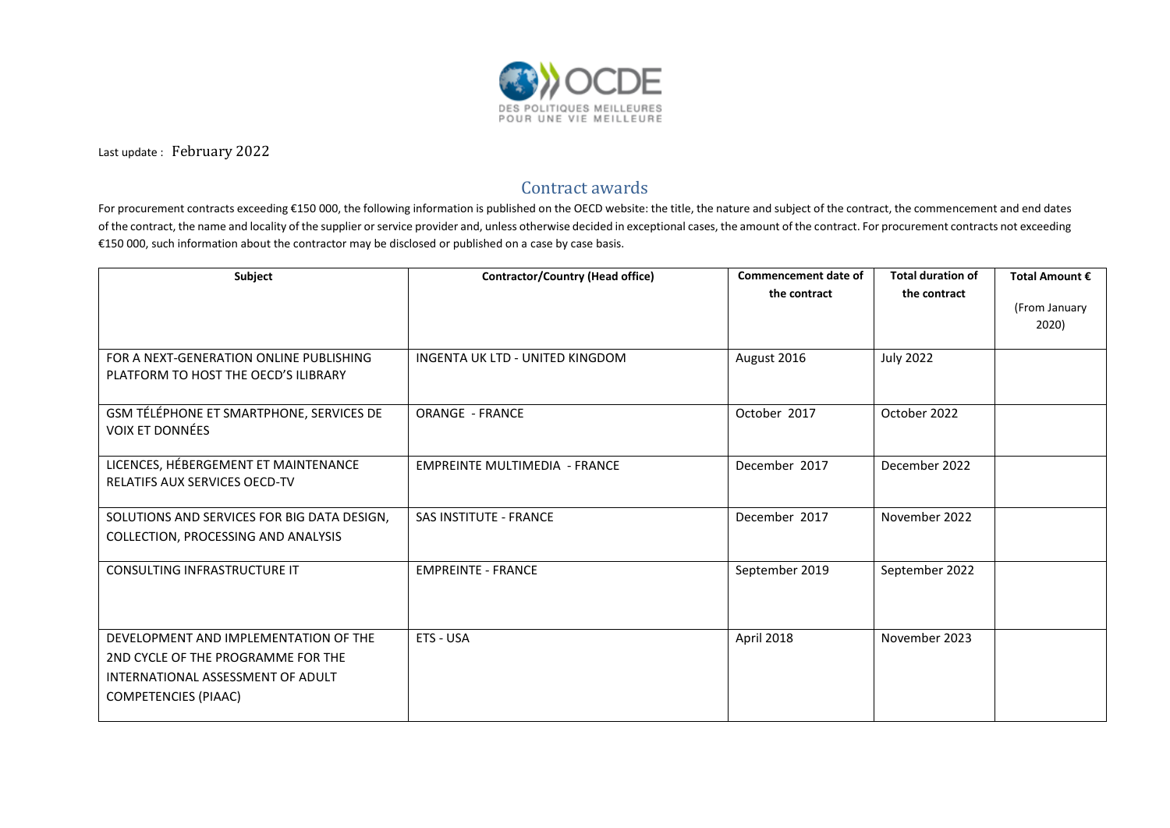

Last update : February 2022

## Contract awards

For procurement contracts exceeding €150 000, the following information is published on the OECD website: the title, the nature and subject of the contract, the commencement and end dates of the contract, the name and locality of the supplier or service provider and, unless otherwise decided in exceptional cases, the amount of the contract. For procurement contracts not exceeding €150 000, such information about the contractor may be disclosed or published on a case by case basis.

| Subject                                     | <b>Contractor/Country (Head office)</b> | Commencement date of | <b>Total duration of</b> | Total Amount € |
|---------------------------------------------|-----------------------------------------|----------------------|--------------------------|----------------|
|                                             |                                         | the contract         | the contract             |                |
|                                             |                                         |                      |                          | (From January  |
|                                             |                                         |                      |                          | 2020)          |
| FOR A NEXT-GENERATION ONLINE PUBLISHING     | INGENTA UK LTD - UNITED KINGDOM         | August 2016          | <b>July 2022</b>         |                |
| PLATFORM TO HOST THE OECD'S ILIBRARY        |                                         |                      |                          |                |
|                                             |                                         |                      |                          |                |
| GSM TÉLÉPHONE ET SMARTPHONE, SERVICES DE    | <b>ORANGE - FRANCE</b>                  | October 2017         | October 2022             |                |
| <b>VOIX ET DONNÉES</b>                      |                                         |                      |                          |                |
|                                             |                                         |                      |                          |                |
| LICENCES, HÉBERGEMENT ET MAINTENANCE        | <b>EMPREINTE MULTIMEDIA - FRANCE</b>    | December 2017        | December 2022            |                |
| <b>RELATIFS AUX SERVICES OECD-TV</b>        |                                         |                      |                          |                |
| SOLUTIONS AND SERVICES FOR BIG DATA DESIGN, | <b>SAS INSTITUTE - FRANCE</b>           | December 2017        | November 2022            |                |
| COLLECTION, PROCESSING AND ANALYSIS         |                                         |                      |                          |                |
|                                             |                                         |                      |                          |                |
| CONSULTING INFRASTRUCTURE IT                | <b>EMPREINTE - FRANCE</b>               | September 2019       | September 2022           |                |
|                                             |                                         |                      |                          |                |
|                                             |                                         |                      |                          |                |
| DEVELOPMENT AND IMPLEMENTATION OF THE       | ETS - USA                               | April 2018           | November 2023            |                |
| 2ND CYCLE OF THE PROGRAMME FOR THE          |                                         |                      |                          |                |
| INTERNATIONAL ASSESSMENT OF ADULT           |                                         |                      |                          |                |
| <b>COMPETENCIES (PIAAC)</b>                 |                                         |                      |                          |                |
|                                             |                                         |                      |                          |                |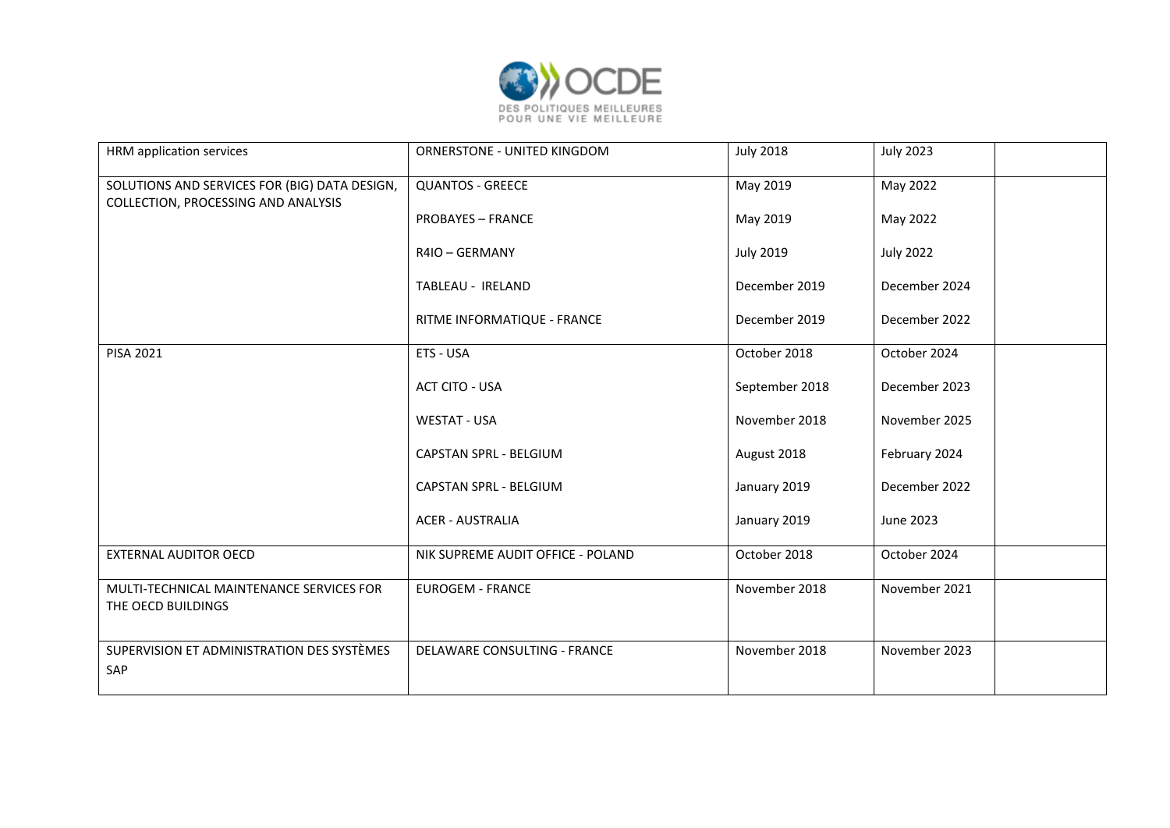

| HRM application services                                                             | ORNERSTONE - UNITED KINGDOM       | <b>July 2018</b> | <b>July 2023</b> |
|--------------------------------------------------------------------------------------|-----------------------------------|------------------|------------------|
| SOLUTIONS AND SERVICES FOR (BIG) DATA DESIGN,<br>COLLECTION, PROCESSING AND ANALYSIS | <b>QUANTOS - GREECE</b>           | May 2019         | May 2022         |
|                                                                                      | <b>PROBAYES - FRANCE</b>          | May 2019         | May 2022         |
|                                                                                      | R4IO - GERMANY                    | <b>July 2019</b> | <b>July 2022</b> |
|                                                                                      | TABLEAU - IRELAND                 | December 2019    | December 2024    |
|                                                                                      | RITME INFORMATIQUE - FRANCE       | December 2019    | December 2022    |
| PISA 2021                                                                            | ETS - USA                         | October 2018     | October 2024     |
|                                                                                      | ACT CITO - USA                    | September 2018   | December 2023    |
|                                                                                      | <b>WESTAT - USA</b>               | November 2018    | November 2025    |
|                                                                                      | CAPSTAN SPRL - BELGIUM            | August 2018      | February 2024    |
|                                                                                      | CAPSTAN SPRL - BELGIUM            | January 2019     | December 2022    |
|                                                                                      | <b>ACER - AUSTRALIA</b>           | January 2019     | June 2023        |
| <b>EXTERNAL AUDITOR OECD</b>                                                         | NIK SUPREME AUDIT OFFICE - POLAND | October 2018     | October 2024     |
| MULTI-TECHNICAL MAINTENANCE SERVICES FOR<br>THE OECD BUILDINGS                       | <b>EUROGEM - FRANCE</b>           | November 2018    | November 2021    |
| SUPERVISION ET ADMINISTRATION DES SYSTÈMES<br>SAP                                    | DELAWARE CONSULTING - FRANCE      | November 2018    | November 2023    |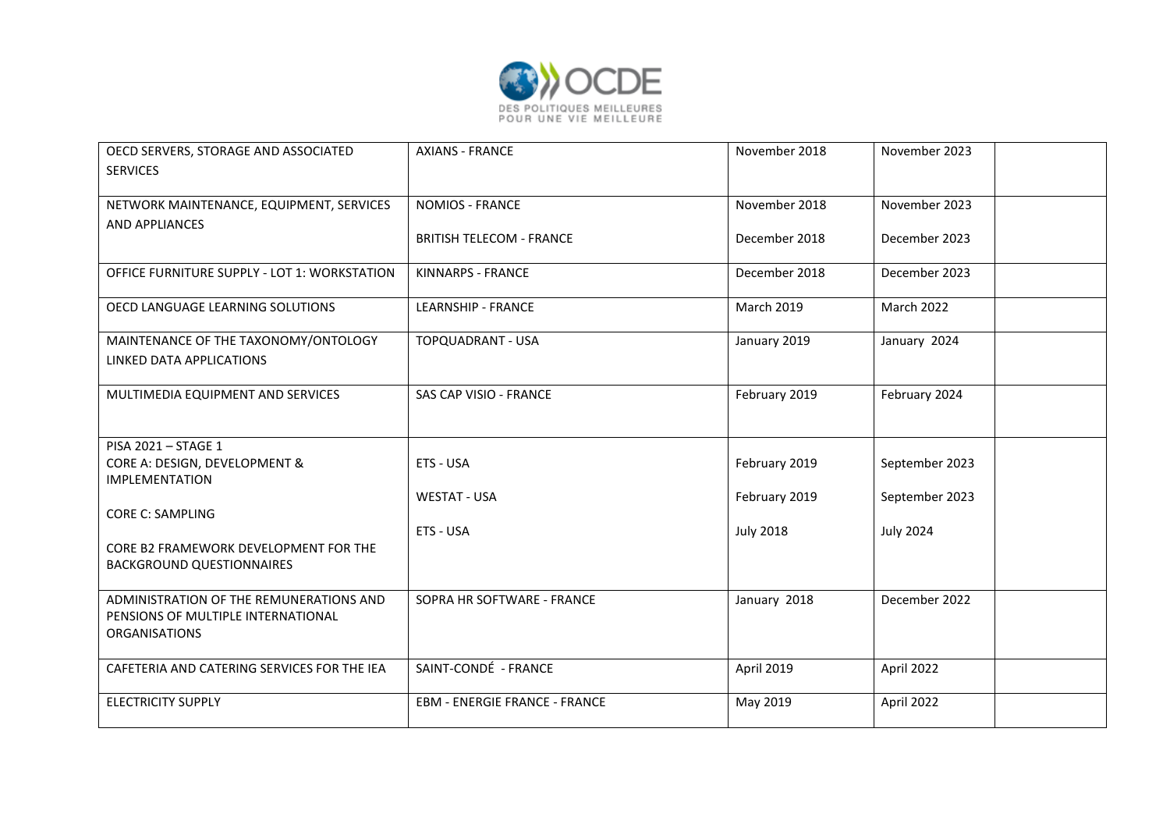

| OECD SERVERS, STORAGE AND ASSOCIATED<br><b>SERVICES</b>                                               | <b>AXIANS - FRANCE</b>               | November 2018     | November 2023    |
|-------------------------------------------------------------------------------------------------------|--------------------------------------|-------------------|------------------|
| NETWORK MAINTENANCE, EQUIPMENT, SERVICES                                                              | <b>NOMIOS - FRANCE</b>               | November 2018     | November 2023    |
| AND APPLIANCES                                                                                        | <b>BRITISH TELECOM - FRANCE</b>      | December 2018     | December 2023    |
| OFFICE FURNITURE SUPPLY - LOT 1: WORKSTATION                                                          | KINNARPS - FRANCE                    | December 2018     | December 2023    |
| OECD LANGUAGE LEARNING SOLUTIONS                                                                      | <b>LEARNSHIP - FRANCE</b>            | <b>March 2019</b> | March 2022       |
| MAINTENANCE OF THE TAXONOMY/ONTOLOGY<br>LINKED DATA APPLICATIONS                                      | TOPQUADRANT - USA                    | January 2019      | January 2024     |
| MULTIMEDIA EQUIPMENT AND SERVICES                                                                     | SAS CAP VISIO - FRANCE               | February 2019     | February 2024    |
| PISA 2021 - STAGE 1                                                                                   |                                      |                   |                  |
| CORE A: DESIGN, DEVELOPMENT &                                                                         | ETS - USA                            | February 2019     | September 2023   |
| <b>IMPLEMENTATION</b>                                                                                 | <b>WESTAT - USA</b>                  | February 2019     | September 2023   |
| <b>CORE C: SAMPLING</b>                                                                               |                                      |                   |                  |
|                                                                                                       | ETS - USA                            | <b>July 2018</b>  | <b>July 2024</b> |
| CORE B2 FRAMEWORK DEVELOPMENT FOR THE<br><b>BACKGROUND QUESTIONNAIRES</b>                             |                                      |                   |                  |
| ADMINISTRATION OF THE REMUNERATIONS AND<br>PENSIONS OF MULTIPLE INTERNATIONAL<br><b>ORGANISATIONS</b> | SOPRA HR SOFTWARE - FRANCE           | January 2018      | December 2022    |
| CAFETERIA AND CATERING SERVICES FOR THE IEA                                                           | SAINT-CONDÉ - FRANCE                 | April 2019        | April 2022       |
| <b>ELECTRICITY SUPPLY</b>                                                                             | <b>EBM - ENERGIE FRANCE - FRANCE</b> | May 2019          | April 2022       |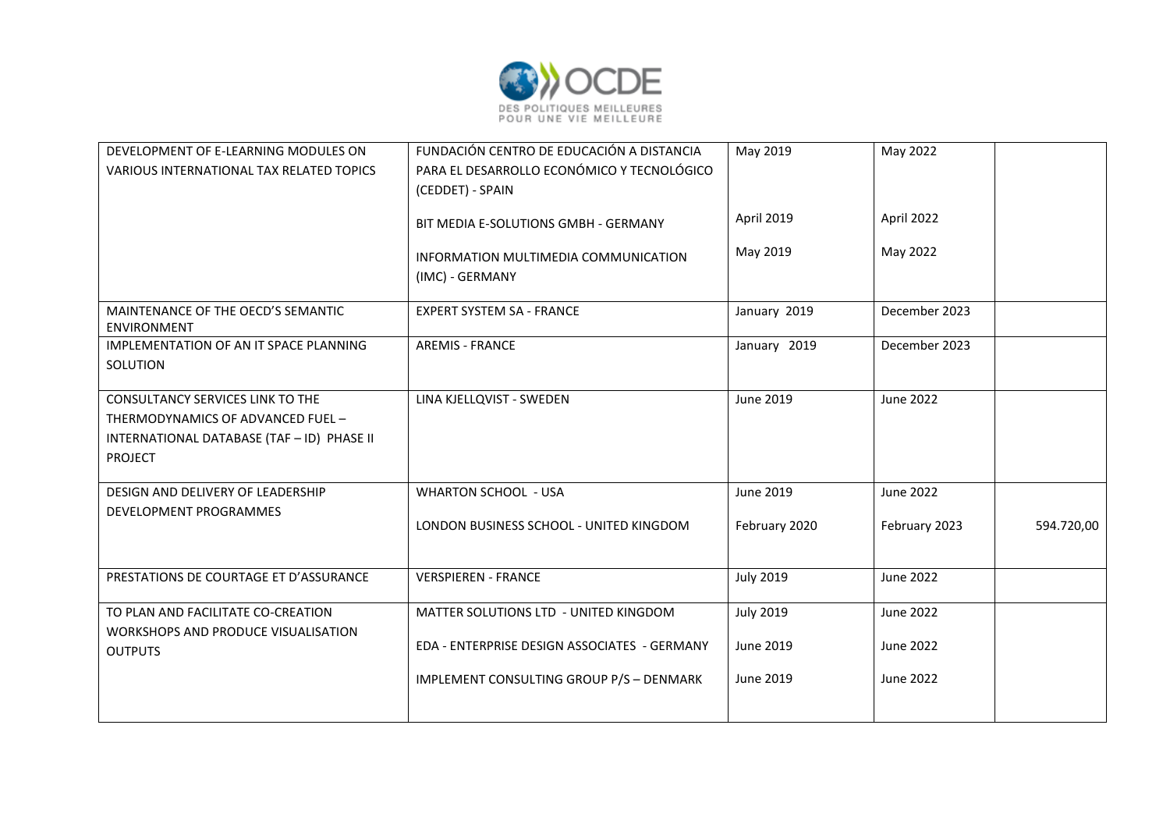

| DEVELOPMENT OF E-LEARNING MODULES ON<br>VARIOUS INTERNATIONAL TAX RELATED TOPICS | FUNDACIÓN CENTRO DE EDUCACIÓN A DISTANCIA<br>PARA EL DESARROLLO ECONÓMICO Y TECNOLÓGICO | May 2019         | May 2022      |            |
|----------------------------------------------------------------------------------|-----------------------------------------------------------------------------------------|------------------|---------------|------------|
|                                                                                  | (CEDDET) - SPAIN                                                                        |                  |               |            |
|                                                                                  | BIT MEDIA E-SOLUTIONS GMBH - GERMANY                                                    | April 2019       | April 2022    |            |
|                                                                                  | INFORMATION MULTIMEDIA COMMUNICATION                                                    | May 2019         | May 2022      |            |
|                                                                                  | (IMC) - GERMANY                                                                         |                  |               |            |
| MAINTENANCE OF THE OECD'S SEMANTIC<br><b>ENVIRONMENT</b>                         | <b>EXPERT SYSTEM SA - FRANCE</b>                                                        | January 2019     | December 2023 |            |
| IMPLEMENTATION OF AN IT SPACE PLANNING<br>SOLUTION                               | <b>AREMIS - FRANCE</b>                                                                  | January 2019     | December 2023 |            |
| <b>CONSULTANCY SERVICES LINK TO THE</b>                                          | LINA KJELLQVIST - SWEDEN                                                                | June 2019        | June 2022     |            |
| THERMODYNAMICS OF ADVANCED FUEL -                                                |                                                                                         |                  |               |            |
| INTERNATIONAL DATABASE (TAF - ID) PHASE II                                       |                                                                                         |                  |               |            |
| <b>PROJECT</b>                                                                   |                                                                                         |                  |               |            |
| DESIGN AND DELIVERY OF LEADERSHIP                                                | <b>WHARTON SCHOOL - USA</b>                                                             | June 2019        | June 2022     |            |
| DEVELOPMENT PROGRAMMES                                                           | LONDON BUSINESS SCHOOL - UNITED KINGDOM                                                 | February 2020    | February 2023 | 594.720,00 |
| PRESTATIONS DE COURTAGE ET D'ASSURANCE                                           | <b>VERSPIEREN - FRANCE</b>                                                              | <b>July 2019</b> | June 2022     |            |
| TO PLAN AND FACILITATE CO-CREATION                                               | MATTER SOLUTIONS LTD - UNITED KINGDOM                                                   | <b>July 2019</b> | June 2022     |            |
| WORKSHOPS AND PRODUCE VISUALISATION                                              |                                                                                         |                  |               |            |
| <b>OUTPUTS</b>                                                                   | EDA - ENTERPRISE DESIGN ASSOCIATES - GERMANY                                            | June 2019        | June 2022     |            |
|                                                                                  | IMPLEMENT CONSULTING GROUP P/S - DENMARK                                                | June 2019        | June 2022     |            |
|                                                                                  |                                                                                         |                  |               |            |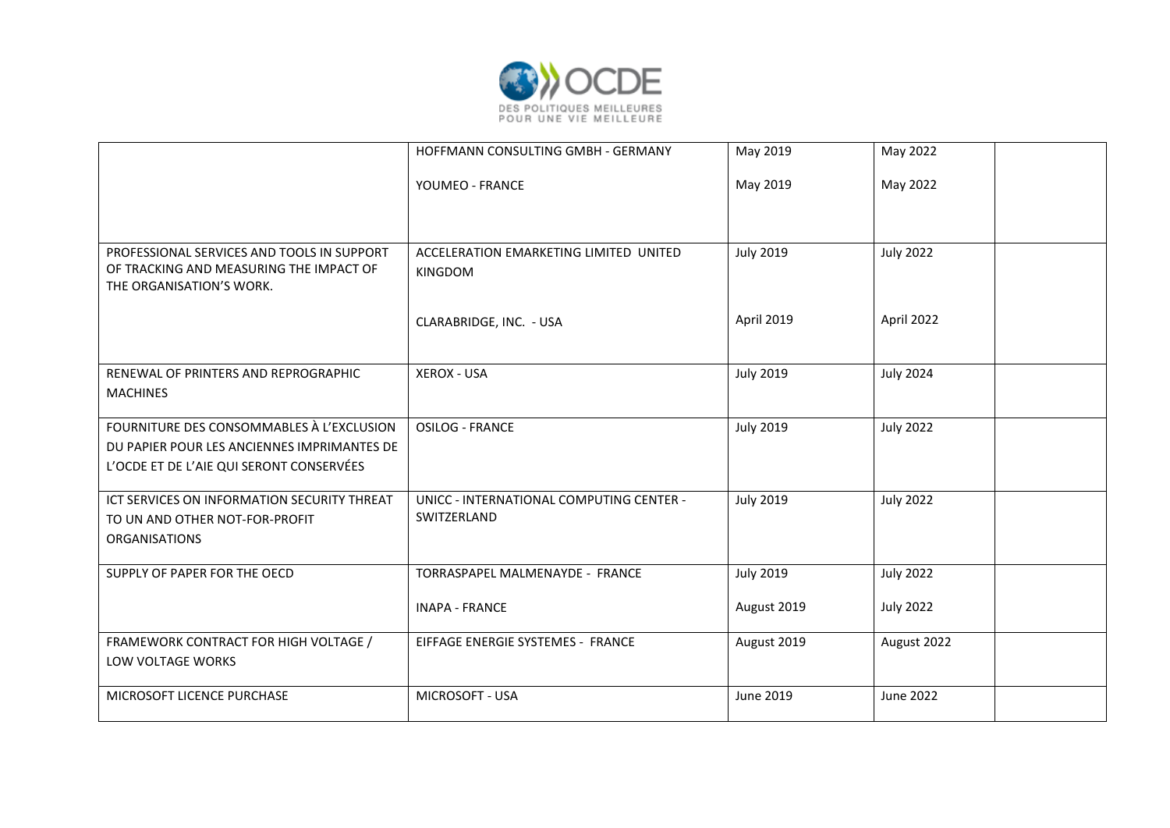

|                                                                                                                                      | HOFFMANN CONSULTING GMBH - GERMANY                              | May 2019                        | May 2022                             |
|--------------------------------------------------------------------------------------------------------------------------------------|-----------------------------------------------------------------|---------------------------------|--------------------------------------|
|                                                                                                                                      | YOUMEO - FRANCE                                                 | May 2019                        | May 2022                             |
| PROFESSIONAL SERVICES AND TOOLS IN SUPPORT<br>OF TRACKING AND MEASURING THE IMPACT OF<br>THE ORGANISATION'S WORK.                    | ACCELERATION EMARKETING LIMITED UNITED<br><b>KINGDOM</b>        | <b>July 2019</b>                | <b>July 2022</b>                     |
|                                                                                                                                      | CLARABRIDGE, INC. - USA                                         | April 2019                      | April 2022                           |
| RENEWAL OF PRINTERS AND REPROGRAPHIC<br><b>MACHINES</b>                                                                              | <b>XEROX - USA</b>                                              | <b>July 2019</b>                | <b>July 2024</b>                     |
| FOURNITURE DES CONSOMMABLES À L'EXCLUSION<br>DU PAPIER POUR LES ANCIENNES IMPRIMANTES DE<br>L'OCDE ET DE L'AIE QUI SERONT CONSERVÉES | <b>OSILOG - FRANCE</b>                                          | <b>July 2019</b>                | <b>July 2022</b>                     |
| ICT SERVICES ON INFORMATION SECURITY THREAT<br>TO UN AND OTHER NOT-FOR-PROFIT<br><b>ORGANISATIONS</b>                                | UNICC - INTERNATIONAL COMPUTING CENTER -<br>SWITZERLAND         | <b>July 2019</b>                | <b>July 2022</b>                     |
| SUPPLY OF PAPER FOR THE OECD                                                                                                         | <b>TORRASPAPEL MALMENAYDE - FRANCE</b><br><b>INAPA - FRANCE</b> | <b>July 2019</b><br>August 2019 | <b>July 2022</b><br><b>July 2022</b> |
| FRAMEWORK CONTRACT FOR HIGH VOLTAGE /<br>LOW VOLTAGE WORKS                                                                           | EIFFAGE ENERGIE SYSTEMES - FRANCE                               | August 2019                     | August 2022                          |
| MICROSOFT LICENCE PURCHASE                                                                                                           | MICROSOFT - USA                                                 | June 2019                       | <b>June 2022</b>                     |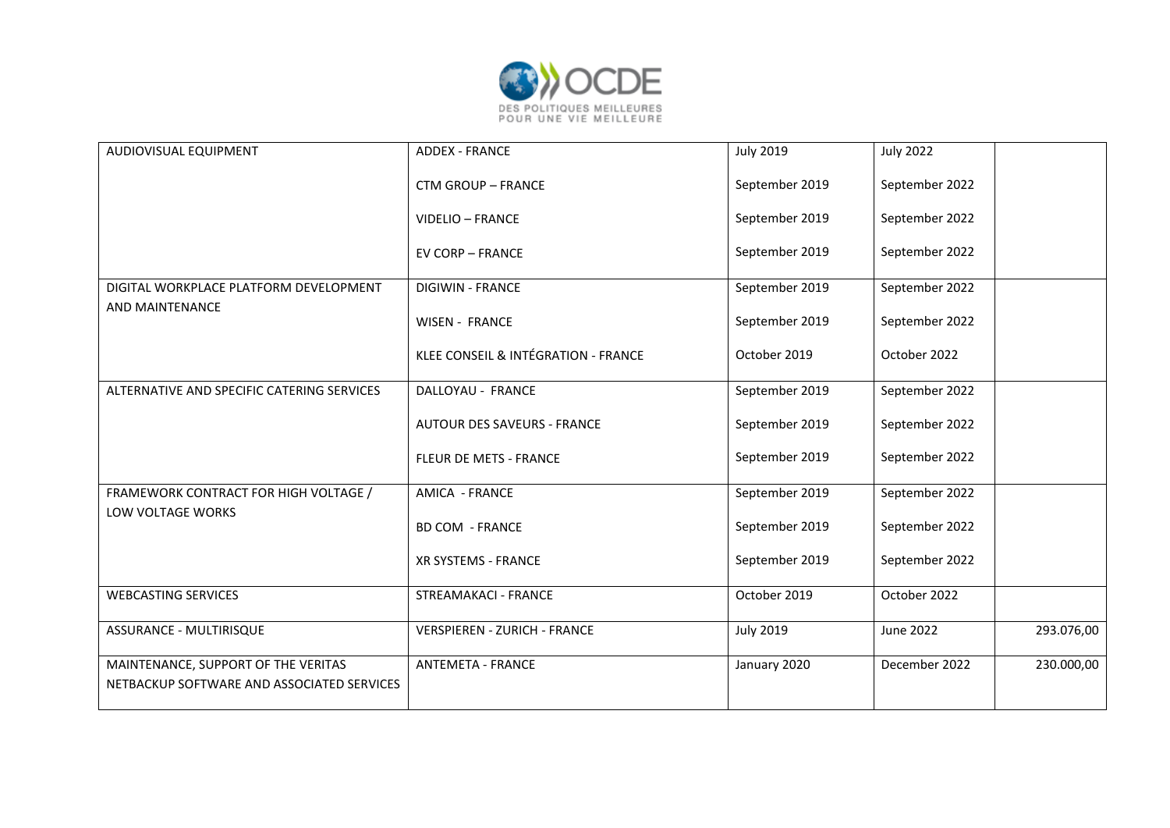

| AUDIOVISUAL EQUIPMENT                                                             | <b>ADDEX - FRANCE</b>               | <b>July 2019</b> | <b>July 2022</b> |            |
|-----------------------------------------------------------------------------------|-------------------------------------|------------------|------------------|------------|
|                                                                                   | <b>CTM GROUP - FRANCE</b>           | September 2019   | September 2022   |            |
|                                                                                   | <b>VIDELIO - FRANCE</b>             | September 2019   | September 2022   |            |
|                                                                                   | <b>EV CORP - FRANCE</b>             | September 2019   | September 2022   |            |
| DIGITAL WORKPLACE PLATFORM DEVELOPMENT                                            | <b>DIGIWIN - FRANCE</b>             | September 2019   | September 2022   |            |
| AND MAINTENANCE                                                                   | <b>WISEN - FRANCE</b>               | September 2019   | September 2022   |            |
|                                                                                   | KLEE CONSEIL & INTÉGRATION - FRANCE | October 2019     | October 2022     |            |
| ALTERNATIVE AND SPECIFIC CATERING SERVICES                                        | DALLOYAU - FRANCE                   | September 2019   | September 2022   |            |
|                                                                                   | <b>AUTOUR DES SAVEURS - FRANCE</b>  | September 2019   | September 2022   |            |
|                                                                                   | FLEUR DE METS - FRANCE              | September 2019   | September 2022   |            |
| FRAMEWORK CONTRACT FOR HIGH VOLTAGE /                                             | AMICA - FRANCE                      | September 2019   | September 2022   |            |
| LOW VOLTAGE WORKS                                                                 | <b>BD COM - FRANCE</b>              | September 2019   | September 2022   |            |
|                                                                                   | XR SYSTEMS - FRANCE                 | September 2019   | September 2022   |            |
| <b>WEBCASTING SERVICES</b>                                                        | <b>STREAMAKACI - FRANCE</b>         | October 2019     | October 2022     |            |
| ASSURANCE - MULTIRISQUE                                                           | <b>VERSPIEREN - ZURICH - FRANCE</b> | <b>July 2019</b> | June 2022        | 293.076,00 |
| MAINTENANCE, SUPPORT OF THE VERITAS<br>NETBACKUP SOFTWARE AND ASSOCIATED SERVICES | <b>ANTEMETA - FRANCE</b>            | January 2020     | December 2022    | 230.000,00 |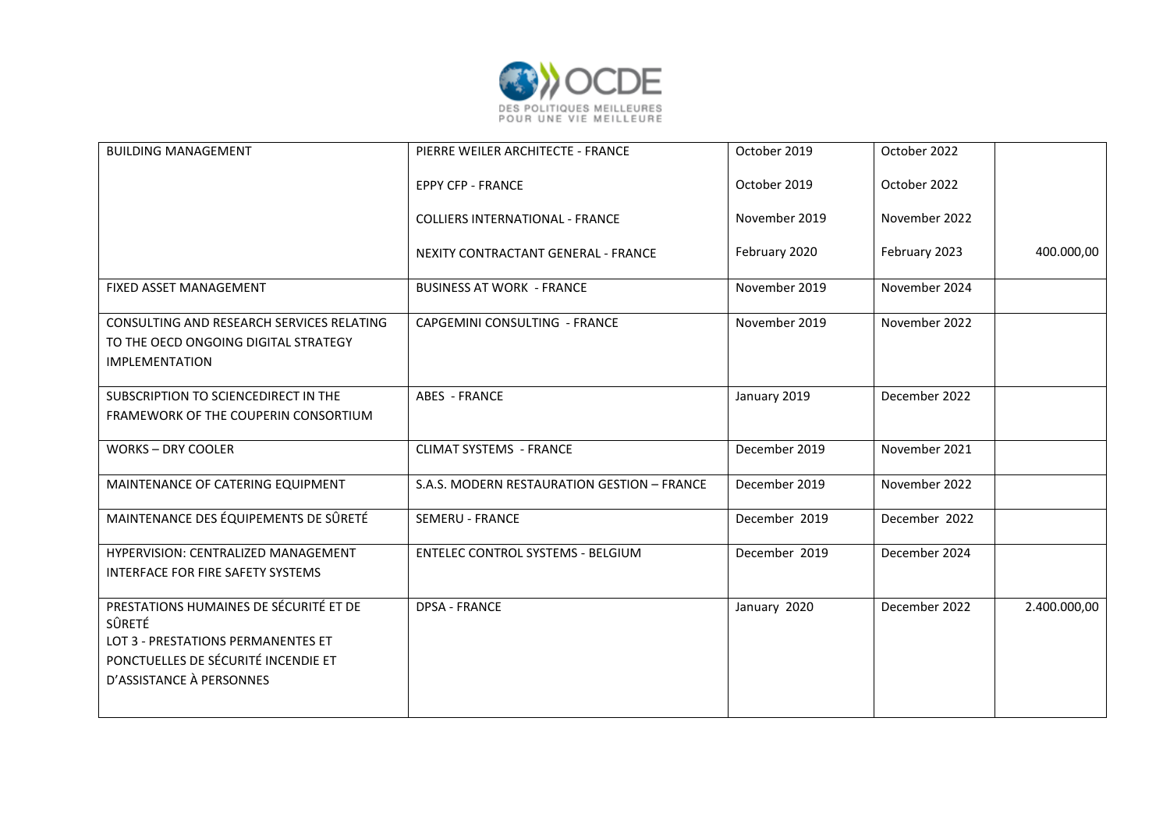

| <b>BUILDING MANAGEMENT</b>                                                                                                                                | PIERRE WEILER ARCHITECTE - FRANCE           | October 2019  | October 2022  |              |
|-----------------------------------------------------------------------------------------------------------------------------------------------------------|---------------------------------------------|---------------|---------------|--------------|
|                                                                                                                                                           | <b>EPPY CFP - FRANCE</b>                    | October 2019  | October 2022  |              |
|                                                                                                                                                           | <b>COLLIERS INTERNATIONAL - FRANCE</b>      | November 2019 | November 2022 |              |
|                                                                                                                                                           | <b>NEXITY CONTRACTANT GENERAL - FRANCE</b>  | February 2020 | February 2023 | 400.000,00   |
| FIXED ASSET MANAGEMENT                                                                                                                                    | <b>BUSINESS AT WORK - FRANCE</b>            | November 2019 | November 2024 |              |
| CONSULTING AND RESEARCH SERVICES RELATING<br>TO THE OECD ONGOING DIGITAL STRATEGY<br><b>IMPLEMENTATION</b>                                                | CAPGEMINI CONSULTING - FRANCE               | November 2019 | November 2022 |              |
| SUBSCRIPTION TO SCIENCEDIRECT IN THE<br>FRAMEWORK OF THE COUPERIN CONSORTIUM                                                                              | <b>ABES - FRANCE</b>                        | January 2019  | December 2022 |              |
| <b>WORKS-DRY COOLER</b>                                                                                                                                   | <b>CLIMAT SYSTEMS - FRANCE</b>              | December 2019 | November 2021 |              |
| MAINTENANCE OF CATERING EQUIPMENT                                                                                                                         | S.A.S. MODERN RESTAURATION GESTION - FRANCE | December 2019 | November 2022 |              |
| MAINTENANCE DES ÉQUIPEMENTS DE SÛRETÉ                                                                                                                     | <b>SEMERU - FRANCE</b>                      | December 2019 | December 2022 |              |
| HYPERVISION: CENTRALIZED MANAGEMENT<br>INTERFACE FOR FIRE SAFETY SYSTEMS                                                                                  | <b>ENTELEC CONTROL SYSTEMS - BELGIUM</b>    | December 2019 | December 2024 |              |
| PRESTATIONS HUMAINES DE SÉCURITÉ ET DE<br>SÛRETÉ<br>LOT 3 - PRESTATIONS PERMANENTES ET<br>PONCTUELLES DE SÉCURITÉ INCENDIE ET<br>D'ASSISTANCE À PERSONNES | <b>DPSA - FRANCE</b>                        | January 2020  | December 2022 | 2.400.000,00 |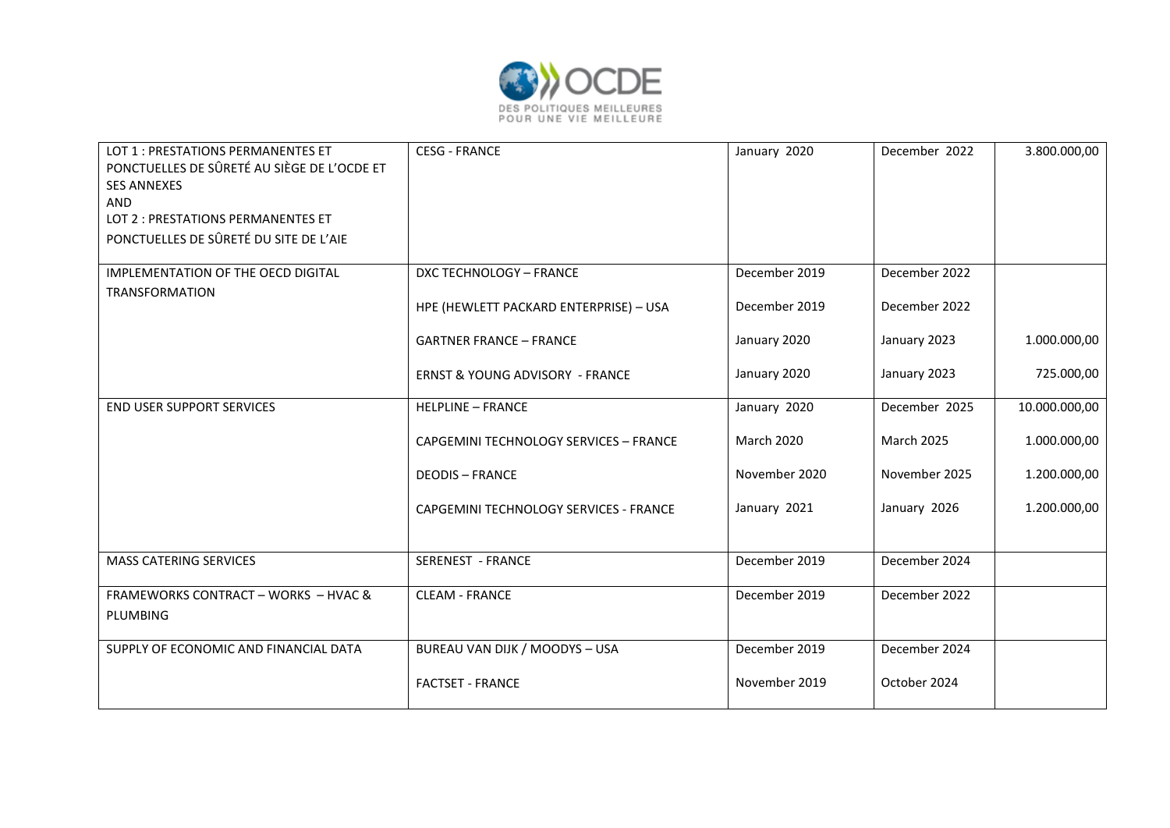

| LOT 1 : PRESTATIONS PERMANENTES ET<br>PONCTUELLES DE SÛRETÉ AU SIÈGE DE L'OCDE ET<br><b>SES ANNEXES</b><br>AND<br>LOT 2 : PRESTATIONS PERMANENTES ET<br>PONCTUELLES DE SÛRETÉ DU SITE DE L'AIE | <b>CESG - FRANCE</b>                       | January 2020      | December 2022     | 3.800.000,00  |
|------------------------------------------------------------------------------------------------------------------------------------------------------------------------------------------------|--------------------------------------------|-------------------|-------------------|---------------|
| IMPLEMENTATION OF THE OECD DIGITAL                                                                                                                                                             | DXC TECHNOLOGY - FRANCE                    | December 2019     | December 2022     |               |
| <b>TRANSFORMATION</b>                                                                                                                                                                          | HPE (HEWLETT PACKARD ENTERPRISE) - USA     | December 2019     | December 2022     |               |
|                                                                                                                                                                                                | <b>GARTNER FRANCE - FRANCE</b>             | January 2020      | January 2023      | 1.000.000,00  |
|                                                                                                                                                                                                | <b>ERNST &amp; YOUNG ADVISORY - FRANCE</b> | January 2020      | January 2023      | 725.000,00    |
| END USER SUPPORT SERVICES                                                                                                                                                                      | <b>HELPLINE - FRANCE</b>                   | January 2020      | December 2025     | 10.000.000,00 |
|                                                                                                                                                                                                | CAPGEMINI TECHNOLOGY SERVICES - FRANCE     | <b>March 2020</b> | <b>March 2025</b> | 1.000.000,00  |
|                                                                                                                                                                                                | <b>DEODIS - FRANCE</b>                     | November 2020     | November 2025     | 1.200.000,00  |
|                                                                                                                                                                                                | CAPGEMINI TECHNOLOGY SERVICES - FRANCE     | January 2021      | January 2026      | 1.200.000,00  |
| <b>MASS CATERING SERVICES</b>                                                                                                                                                                  | <b>SERENEST - FRANCE</b>                   | December 2019     | December 2024     |               |
| <b>FRAMEWORKS CONTRACT - WORKS - HVAC &amp;</b><br>PLUMBING                                                                                                                                    | <b>CLEAM - FRANCE</b>                      | December 2019     | December 2022     |               |
| SUPPLY OF ECONOMIC AND FINANCIAL DATA                                                                                                                                                          | BUREAU VAN DIJK / MOODYS - USA             | December 2019     | December 2024     |               |
|                                                                                                                                                                                                | <b>FACTSET - FRANCE</b>                    | November 2019     | October 2024      |               |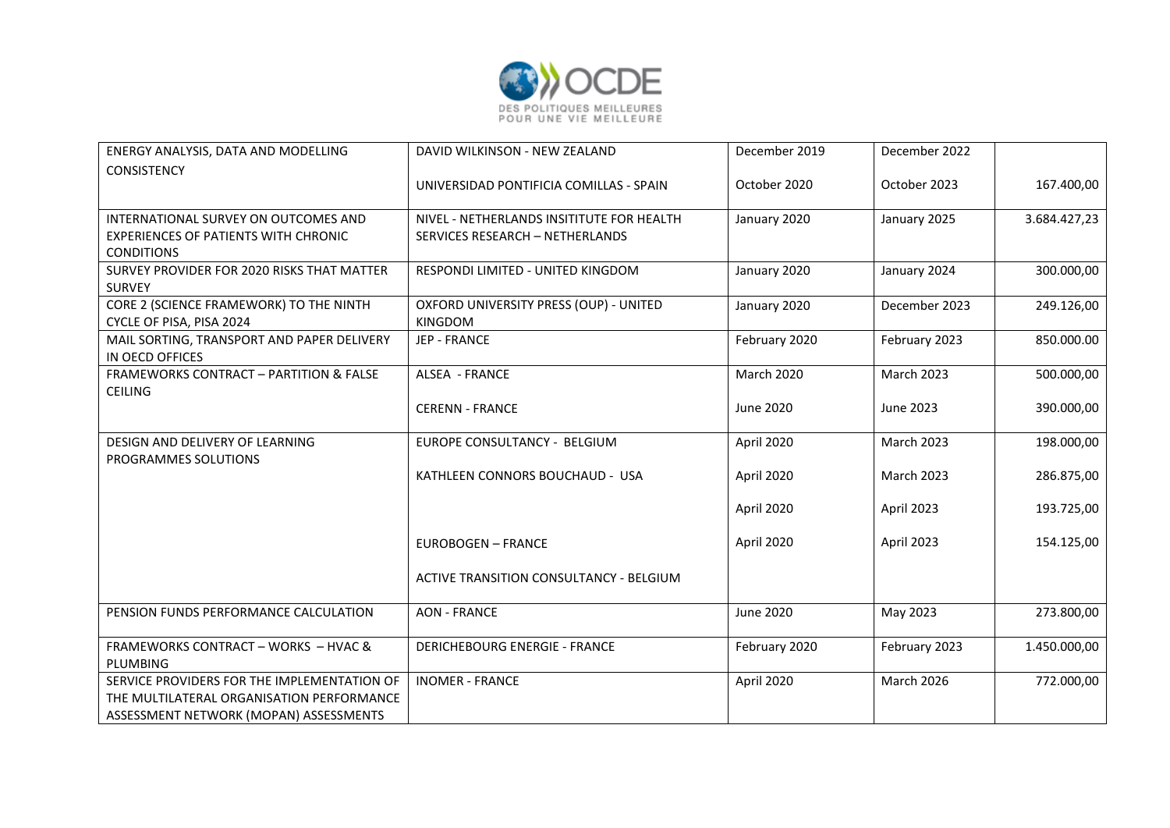

| ENERGY ANALYSIS, DATA AND MODELLING                                                                                                | DAVID WILKINSON - NEW ZEALAND                                                | December 2019     | December 2022     |              |
|------------------------------------------------------------------------------------------------------------------------------------|------------------------------------------------------------------------------|-------------------|-------------------|--------------|
| <b>CONSISTENCY</b>                                                                                                                 | UNIVERSIDAD PONTIFICIA COMILLAS - SPAIN                                      | October 2020      | October 2023      | 167.400,00   |
| INTERNATIONAL SURVEY ON OUTCOMES AND<br><b>EXPERIENCES OF PATIENTS WITH CHRONIC</b><br><b>CONDITIONS</b>                           | NIVEL - NETHERLANDS INSITITUTE FOR HEALTH<br>SERVICES RESEARCH - NETHERLANDS | January 2020      | January 2025      | 3.684.427,23 |
| SURVEY PROVIDER FOR 2020 RISKS THAT MATTER<br><b>SURVEY</b>                                                                        | RESPONDI LIMITED - UNITED KINGDOM                                            | January 2020      | January 2024      | 300.000,00   |
| CORE 2 (SCIENCE FRAMEWORK) TO THE NINTH<br>CYCLE OF PISA, PISA 2024                                                                | OXFORD UNIVERSITY PRESS (OUP) - UNITED<br><b>KINGDOM</b>                     | January 2020      | December 2023     | 249.126,00   |
| MAIL SORTING, TRANSPORT AND PAPER DELIVERY<br>IN OECD OFFICES                                                                      | JEP - FRANCE                                                                 | February 2020     | February 2023     | 850.000.00   |
| <b>FRAMEWORKS CONTRACT - PARTITION &amp; FALSE</b><br><b>CEILING</b>                                                               | ALSEA - FRANCE                                                               | <b>March 2020</b> | <b>March 2023</b> | 500.000,00   |
|                                                                                                                                    | <b>CERENN - FRANCE</b>                                                       | June 2020         | June 2023         | 390.000,00   |
| DESIGN AND DELIVERY OF LEARNING<br>PROGRAMMES SOLUTIONS                                                                            | EUROPE CONSULTANCY - BELGIUM                                                 | April 2020        | <b>March 2023</b> | 198.000,00   |
|                                                                                                                                    | KATHLEEN CONNORS BOUCHAUD - USA                                              | April 2020        | <b>March 2023</b> | 286.875,00   |
|                                                                                                                                    |                                                                              | April 2020        | April 2023        | 193.725,00   |
|                                                                                                                                    | <b>EUROBOGEN - FRANCE</b>                                                    | April 2020        | April 2023        | 154.125,00   |
|                                                                                                                                    | ACTIVE TRANSITION CONSULTANCY - BELGIUM                                      |                   |                   |              |
| PENSION FUNDS PERFORMANCE CALCULATION                                                                                              | <b>AON - FRANCE</b>                                                          | June 2020         | May 2023          | 273.800,00   |
| <b>FRAMEWORKS CONTRACT - WORKS - HVAC &amp;</b><br>PLUMBING                                                                        | <b>DERICHEBOURG ENERGIE - FRANCE</b>                                         | February 2020     | February 2023     | 1.450.000,00 |
| SERVICE PROVIDERS FOR THE IMPLEMENTATION OF<br>THE MULTILATERAL ORGANISATION PERFORMANCE<br>ASSESSMENT NETWORK (MOPAN) ASSESSMENTS | <b>INOMER - FRANCE</b>                                                       | April 2020        | March 2026        | 772.000,00   |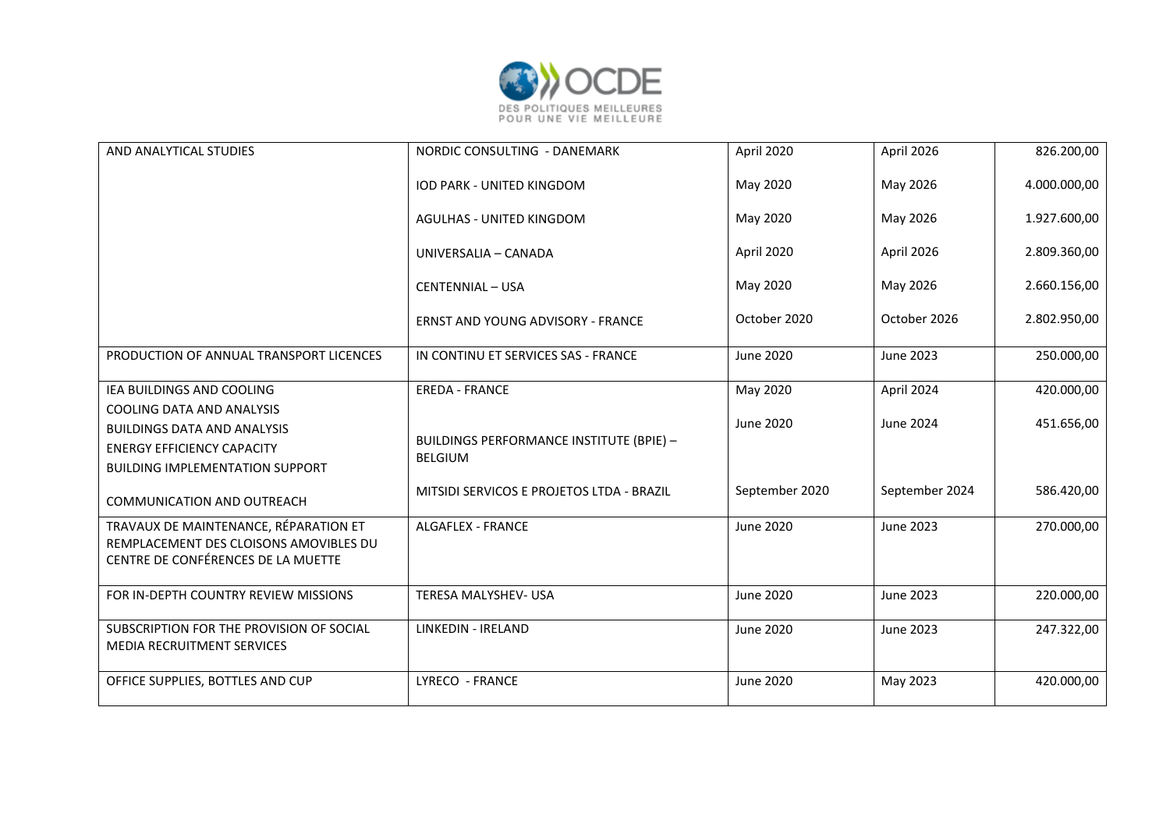

| AND ANALYTICAL STUDIES                                                                                                                         | NORDIC CONSULTING - DANEMARK                                      | April 2020       | April 2026       | 826.200,00   |
|------------------------------------------------------------------------------------------------------------------------------------------------|-------------------------------------------------------------------|------------------|------------------|--------------|
|                                                                                                                                                | IOD PARK - UNITED KINGDOM                                         | May 2020         | May 2026         | 4.000.000,00 |
|                                                                                                                                                | AGULHAS - UNITED KINGDOM                                          | May 2020         | May 2026         | 1.927.600,00 |
|                                                                                                                                                | UNIVERSALIA - CANADA                                              | April 2020       | April 2026       | 2.809.360,00 |
|                                                                                                                                                | <b>CENTENNIAL - USA</b>                                           | May 2020         | May 2026         | 2.660.156,00 |
|                                                                                                                                                | <b>ERNST AND YOUNG ADVISORY - FRANCE</b>                          | October 2020     | October 2026     | 2.802.950,00 |
| PRODUCTION OF ANNUAL TRANSPORT LICENCES                                                                                                        | IN CONTINU ET SERVICES SAS - FRANCE                               | <b>June 2020</b> | <b>June 2023</b> | 250.000,00   |
| IEA BUILDINGS AND COOLING                                                                                                                      | <b>EREDA - FRANCE</b>                                             | May 2020         | April 2024       | 420.000,00   |
| COOLING DATA AND ANALYSIS<br><b>BUILDINGS DATA AND ANALYSIS</b><br><b>ENERGY EFFICIENCY CAPACITY</b><br><b>BUILDING IMPLEMENTATION SUPPORT</b> | <b>BUILDINGS PERFORMANCE INSTITUTE (BPIE) -</b><br><b>BELGIUM</b> | <b>June 2020</b> | June 2024        | 451.656,00   |
| <b>COMMUNICATION AND OUTREACH</b>                                                                                                              | MITSIDI SERVICOS E PROJETOS LTDA - BRAZIL                         | September 2020   | September 2024   | 586.420,00   |
| TRAVAUX DE MAINTENANCE, RÉPARATION ET<br>REMPLACEMENT DES CLOISONS AMOVIBLES DU<br>CENTRE DE CONFÉRENCES DE LA MUETTE                          | <b>ALGAFLEX - FRANCE</b>                                          | <b>June 2020</b> | <b>June 2023</b> | 270.000,00   |
| FOR IN-DEPTH COUNTRY REVIEW MISSIONS                                                                                                           | <b>TERESA MALYSHEV- USA</b>                                       | <b>June 2020</b> | <b>June 2023</b> | 220.000,00   |
| SUBSCRIPTION FOR THE PROVISION OF SOCIAL<br>MEDIA RECRUITMENT SERVICES                                                                         | <b>LINKEDIN - IRELAND</b>                                         | June 2020        | June 2023        | 247.322,00   |
| OFFICE SUPPLIES, BOTTLES AND CUP                                                                                                               | LYRECO - FRANCE                                                   | <b>June 2020</b> | May 2023         | 420.000,00   |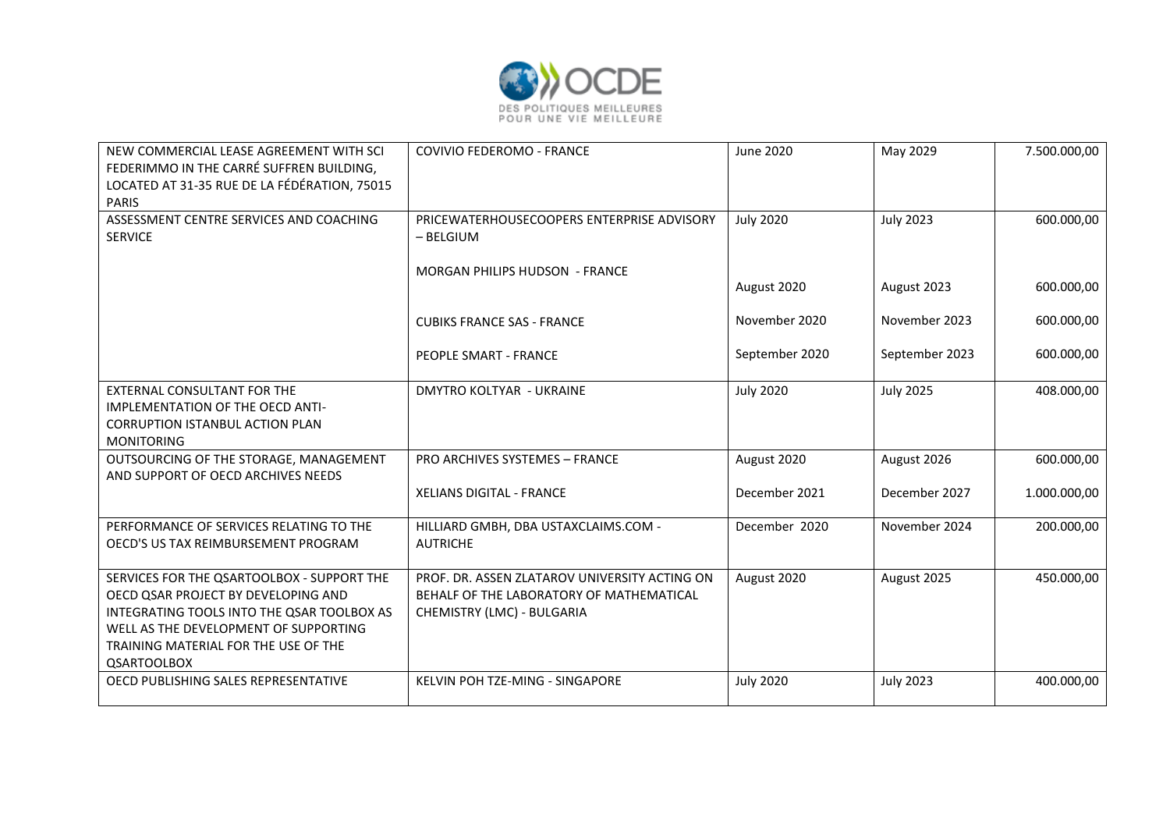

| NEW COMMERCIAL LEASE AGREEMENT WITH SCI<br>FEDERIMMO IN THE CARRÉ SUFFREN BUILDING,<br>LOCATED AT 31-35 RUE DE LA FÉDÉRATION, 75015<br><b>PARIS</b>                                                                                    | <b>COVIVIO FEDEROMO - FRANCE</b>                                                                                        | June 2020        | May 2029         | 7.500.000,00 |
|----------------------------------------------------------------------------------------------------------------------------------------------------------------------------------------------------------------------------------------|-------------------------------------------------------------------------------------------------------------------------|------------------|------------------|--------------|
| ASSESSMENT CENTRE SERVICES AND COACHING<br><b>SERVICE</b>                                                                                                                                                                              | PRICEWATERHOUSECOOPERS ENTERPRISE ADVISORY<br>$-$ BELGIUM                                                               | <b>July 2020</b> | <b>July 2023</b> | 600.000,00   |
|                                                                                                                                                                                                                                        | <b>MORGAN PHILIPS HUDSON - FRANCE</b>                                                                                   | August 2020      | August 2023      | 600.000,00   |
|                                                                                                                                                                                                                                        | <b>CUBIKS FRANCE SAS - FRANCE</b>                                                                                       | November 2020    | November 2023    | 600.000,00   |
|                                                                                                                                                                                                                                        | PEOPLE SMART - FRANCE                                                                                                   | September 2020   | September 2023   | 600.000,00   |
| <b>EXTERNAL CONSULTANT FOR THE</b><br><b>IMPLEMENTATION OF THE OECD ANTI-</b><br><b>CORRUPTION ISTANBUL ACTION PLAN</b><br><b>MONITORING</b>                                                                                           | <b>DMYTRO KOLTYAR - UKRAINE</b>                                                                                         | <b>July 2020</b> | <b>July 2025</b> | 408.000,00   |
| OUTSOURCING OF THE STORAGE, MANAGEMENT<br>AND SUPPORT OF OECD ARCHIVES NEEDS                                                                                                                                                           | PRO ARCHIVES SYSTEMES - FRANCE                                                                                          | August 2020      | August 2026      | 600.000,00   |
|                                                                                                                                                                                                                                        | <b>XELIANS DIGITAL - FRANCE</b>                                                                                         | December 2021    | December 2027    | 1.000.000,00 |
| PERFORMANCE OF SERVICES RELATING TO THE<br>OECD'S US TAX REIMBURSEMENT PROGRAM                                                                                                                                                         | HILLIARD GMBH, DBA USTAXCLAIMS.COM -<br><b>AUTRICHE</b>                                                                 | December 2020    | November 2024    | 200.000,00   |
| SERVICES FOR THE QSARTOOLBOX - SUPPORT THE<br>OECD QSAR PROJECT BY DEVELOPING AND<br>INTEGRATING TOOLS INTO THE QSAR TOOLBOX AS<br>WELL AS THE DEVELOPMENT OF SUPPORTING<br>TRAINING MATERIAL FOR THE USE OF THE<br><b>QSARTOOLBOX</b> | PROF. DR. ASSEN ZLATAROV UNIVERSITY ACTING ON<br>BEHALF OF THE LABORATORY OF MATHEMATICAL<br>CHEMISTRY (LMC) - BULGARIA | August 2020      | August 2025      | 450.000,00   |
| OECD PUBLISHING SALES REPRESENTATIVE                                                                                                                                                                                                   | KELVIN POH TZE-MING - SINGAPORE                                                                                         | <b>July 2020</b> | <b>July 2023</b> | 400.000,00   |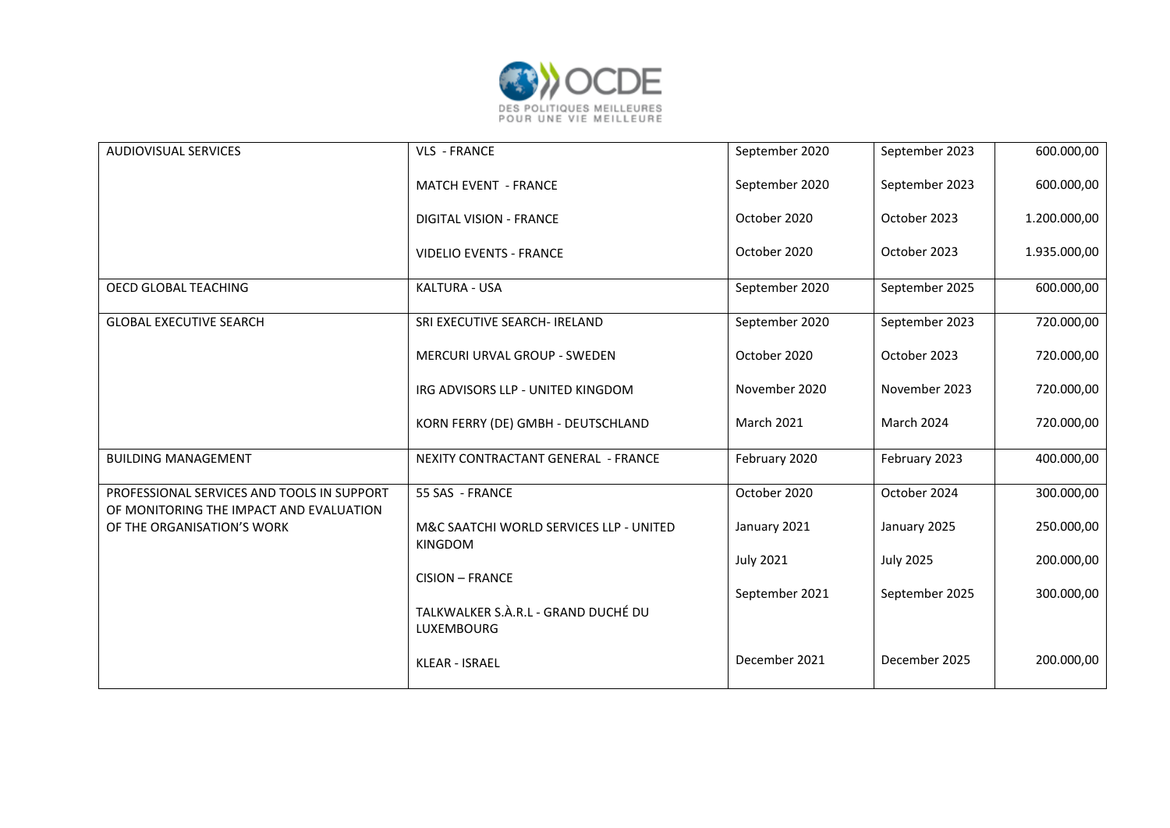

| <b>AUDIOVISUAL SERVICES</b>                                                           | VLS - FRANCE                                              | September 2020   | September 2023   | 600.000,00   |
|---------------------------------------------------------------------------------------|-----------------------------------------------------------|------------------|------------------|--------------|
|                                                                                       | <b>MATCH EVENT - FRANCE</b>                               | September 2020   | September 2023   | 600.000,00   |
|                                                                                       | <b>DIGITAL VISION - FRANCE</b>                            | October 2020     | October 2023     | 1.200.000,00 |
|                                                                                       | <b>VIDELIO EVENTS - FRANCE</b>                            | October 2020     | October 2023     | 1.935.000,00 |
| OECD GLOBAL TEACHING                                                                  | KALTURA - USA                                             | September 2020   | September 2025   | 600.000,00   |
| <b>GLOBAL EXECUTIVE SEARCH</b>                                                        | SRI EXECUTIVE SEARCH- IRELAND                             | September 2020   | September 2023   | 720.000,00   |
|                                                                                       | <b>MERCURI URVAL GROUP - SWEDEN</b>                       | October 2020     | October 2023     | 720.000,00   |
|                                                                                       | IRG ADVISORS LLP - UNITED KINGDOM                         | November 2020    | November 2023    | 720.000,00   |
|                                                                                       | KORN FERRY (DE) GMBH - DEUTSCHLAND                        | March 2021       | March 2024       | 720.000,00   |
| <b>BUILDING MANAGEMENT</b>                                                            | NEXITY CONTRACTANT GENERAL - FRANCE                       | February 2020    | February 2023    | 400.000,00   |
| PROFESSIONAL SERVICES AND TOOLS IN SUPPORT<br>OF MONITORING THE IMPACT AND EVALUATION | 55 SAS - FRANCE                                           | October 2020     | October 2024     | 300.000,00   |
| OF THE ORGANISATION'S WORK                                                            | M&C SAATCHI WORLD SERVICES LLP - UNITED<br><b>KINGDOM</b> | January 2021     | January 2025     | 250.000,00   |
|                                                                                       |                                                           | <b>July 2021</b> | <b>July 2025</b> | 200.000,00   |
|                                                                                       | <b>CISION - FRANCE</b>                                    | September 2021   | September 2025   | 300.000,00   |
|                                                                                       | TALKWALKER S.À.R.L - GRAND DUCHÉ DU<br>LUXEMBOURG         |                  |                  |              |
|                                                                                       | <b>KLEAR - ISRAEL</b>                                     | December 2021    | December 2025    | 200.000,00   |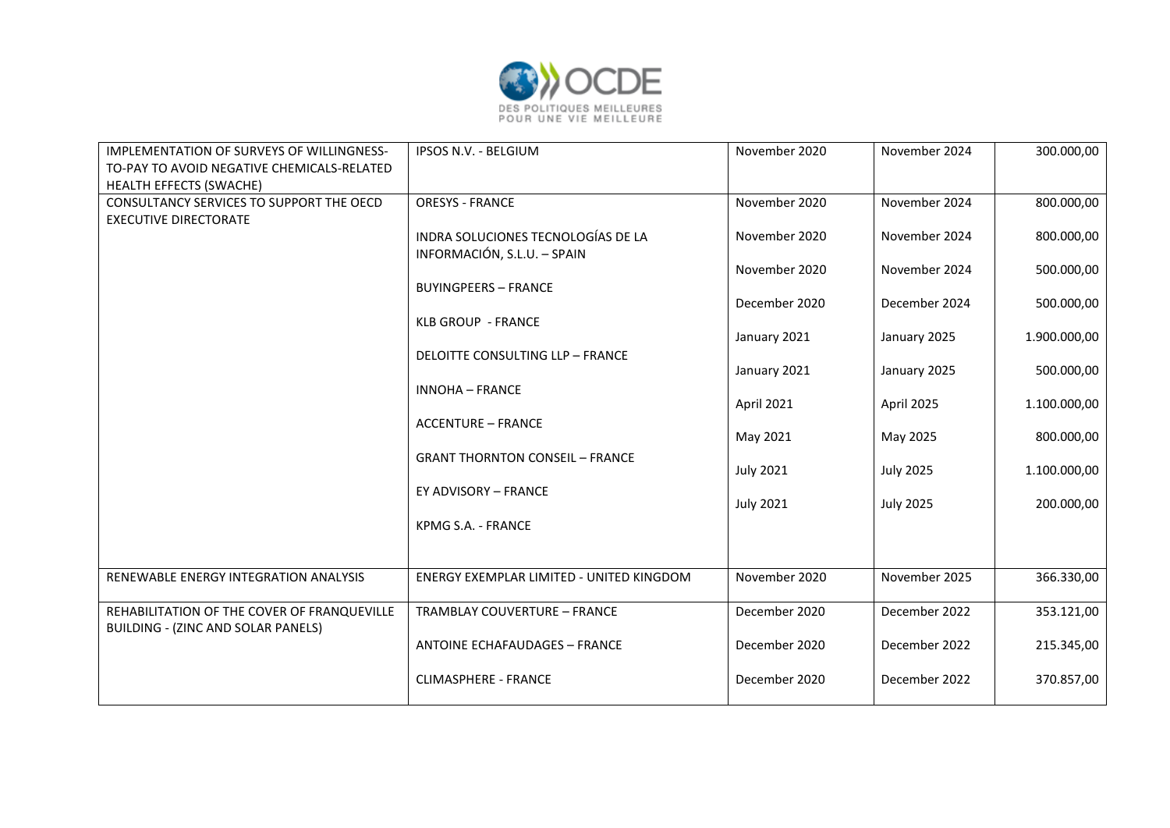

| IMPLEMENTATION OF SURVEYS OF WILLINGNESS-<br>TO-PAY TO AVOID NEGATIVE CHEMICALS-RELATED<br>HEALTH EFFECTS (SWACHE) | IPSOS N.V. - BELGIUM                                              | November 2020    | November 2024    | 300.000,00   |
|--------------------------------------------------------------------------------------------------------------------|-------------------------------------------------------------------|------------------|------------------|--------------|
| CONSULTANCY SERVICES TO SUPPORT THE OECD<br><b>EXECUTIVE DIRECTORATE</b>                                           | <b>ORESYS - FRANCE</b>                                            | November 2020    | November 2024    | 800.000,00   |
|                                                                                                                    | INDRA SOLUCIONES TECNOLOGÍAS DE LA<br>INFORMACIÓN, S.L.U. - SPAIN | November 2020    | November 2024    | 800.000,00   |
|                                                                                                                    | <b>BUYINGPEERS - FRANCE</b>                                       | November 2020    | November 2024    | 500.000,00   |
|                                                                                                                    | <b>KLB GROUP - FRANCE</b>                                         | December 2020    | December 2024    | 500.000,00   |
|                                                                                                                    | <b>DELOITTE CONSULTING LLP - FRANCE</b>                           | January 2021     | January 2025     | 1.900.000,00 |
|                                                                                                                    |                                                                   | January 2021     | January 2025     | 500.000,00   |
|                                                                                                                    | <b>INNOHA - FRANCE</b>                                            | April 2021       | April 2025       | 1.100.000,00 |
|                                                                                                                    | <b>ACCENTURE - FRANCE</b>                                         | May 2021         | May 2025         | 800.000,00   |
|                                                                                                                    | <b>GRANT THORNTON CONSEIL - FRANCE</b>                            | <b>July 2021</b> | <b>July 2025</b> | 1.100.000,00 |
|                                                                                                                    | EY ADVISORY - FRANCE                                              | <b>July 2021</b> | <b>July 2025</b> | 200.000,00   |
|                                                                                                                    | KPMG S.A. - FRANCE                                                |                  |                  |              |
| RENEWABLE ENERGY INTEGRATION ANALYSIS                                                                              | ENERGY EXEMPLAR LIMITED - UNITED KINGDOM                          | November 2020    | November 2025    | 366.330,00   |
| REHABILITATION OF THE COVER OF FRANQUEVILLE<br><b>BUILDING - (ZINC AND SOLAR PANELS)</b>                           | <b>TRAMBLAY COUVERTURE - FRANCE</b>                               | December 2020    | December 2022    | 353.121,00   |
|                                                                                                                    | <b>ANTOINE ECHAFAUDAGES - FRANCE</b>                              | December 2020    | December 2022    | 215.345,00   |
|                                                                                                                    | <b>CLIMASPHERE - FRANCE</b>                                       | December 2020    | December 2022    | 370.857,00   |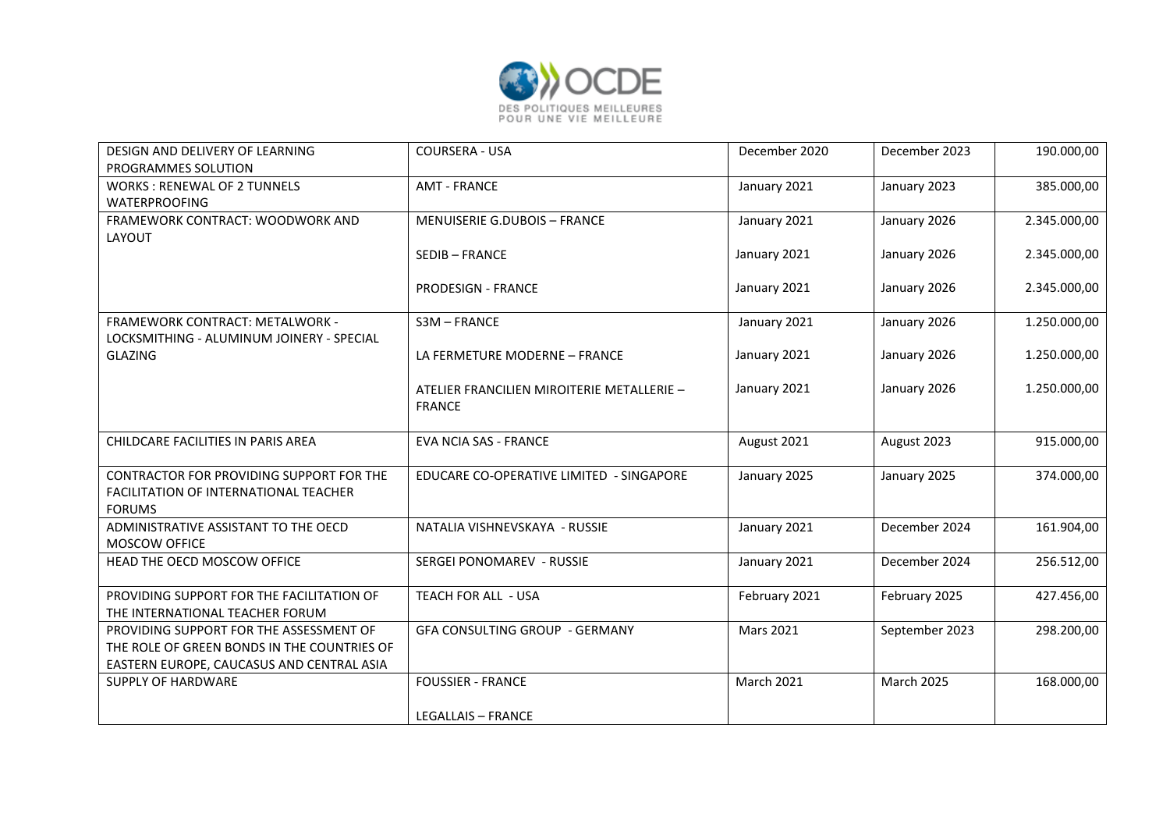

| DESIGN AND DELIVERY OF LEARNING<br>PROGRAMMES SOLUTION                                                                              | <b>COURSERA - USA</b>                                       | December 2020    | December 2023  | 190.000,00   |
|-------------------------------------------------------------------------------------------------------------------------------------|-------------------------------------------------------------|------------------|----------------|--------------|
| <b>WORKS: RENEWAL OF 2 TUNNELS</b><br><b>WATERPROOFING</b>                                                                          | <b>AMT - FRANCE</b>                                         | January 2021     | January 2023   | 385.000,00   |
| FRAMEWORK CONTRACT: WOODWORK AND<br>LAYOUT                                                                                          | <b>MENUISERIE G.DUBOIS - FRANCE</b>                         | January 2021     | January 2026   | 2.345.000,00 |
|                                                                                                                                     | <b>SEDIB-FRANCE</b>                                         | January 2021     | January 2026   | 2.345.000,00 |
|                                                                                                                                     | <b>PRODESIGN - FRANCE</b>                                   | January 2021     | January 2026   | 2.345.000,00 |
| <b>FRAMEWORK CONTRACT: METALWORK -</b><br>LOCKSMITHING - ALUMINUM JOINERY - SPECIAL                                                 | S3M-FRANCE                                                  | January 2021     | January 2026   | 1.250.000,00 |
| <b>GLAZING</b>                                                                                                                      | LA FERMETURE MODERNE - FRANCE                               | January 2021     | January 2026   | 1.250.000,00 |
|                                                                                                                                     | ATELIER FRANCILIEN MIROITERIE METALLERIE -<br><b>FRANCE</b> | January 2021     | January 2026   | 1.250.000,00 |
| CHILDCARE FACILITIES IN PARIS AREA                                                                                                  | <b>EVA NCIA SAS - FRANCE</b>                                | August 2021      | August 2023    | 915.000,00   |
| CONTRACTOR FOR PROVIDING SUPPORT FOR THE<br>FACILITATION OF INTERNATIONAL TEACHER<br><b>FORUMS</b>                                  | EDUCARE CO-OPERATIVE LIMITED - SINGAPORE                    | January 2025     | January 2025   | 374.000,00   |
| ADMINISTRATIVE ASSISTANT TO THE OECD<br>MOSCOW OFFICE                                                                               | NATALIA VISHNEVSKAYA - RUSSIE                               | January 2021     | December 2024  | 161.904,00   |
| HEAD THE OECD MOSCOW OFFICE                                                                                                         | SERGEI PONOMAREV - RUSSIE                                   | January 2021     | December 2024  | 256.512,00   |
| PROVIDING SUPPORT FOR THE FACILITATION OF<br>THE INTERNATIONAL TEACHER FORUM                                                        | TEACH FOR ALL - USA                                         | February 2021    | February 2025  | 427.456,00   |
| PROVIDING SUPPORT FOR THE ASSESSMENT OF<br>THE ROLE OF GREEN BONDS IN THE COUNTRIES OF<br>EASTERN EUROPE, CAUCASUS AND CENTRAL ASIA | <b>GFA CONSULTING GROUP - GERMANY</b>                       | <b>Mars 2021</b> | September 2023 | 298.200,00   |
| <b>SUPPLY OF HARDWARE</b>                                                                                                           | <b>FOUSSIER - FRANCE</b>                                    | March 2021       | March 2025     | 168.000,00   |
|                                                                                                                                     | <b>LEGALLAIS - FRANCE</b>                                   |                  |                |              |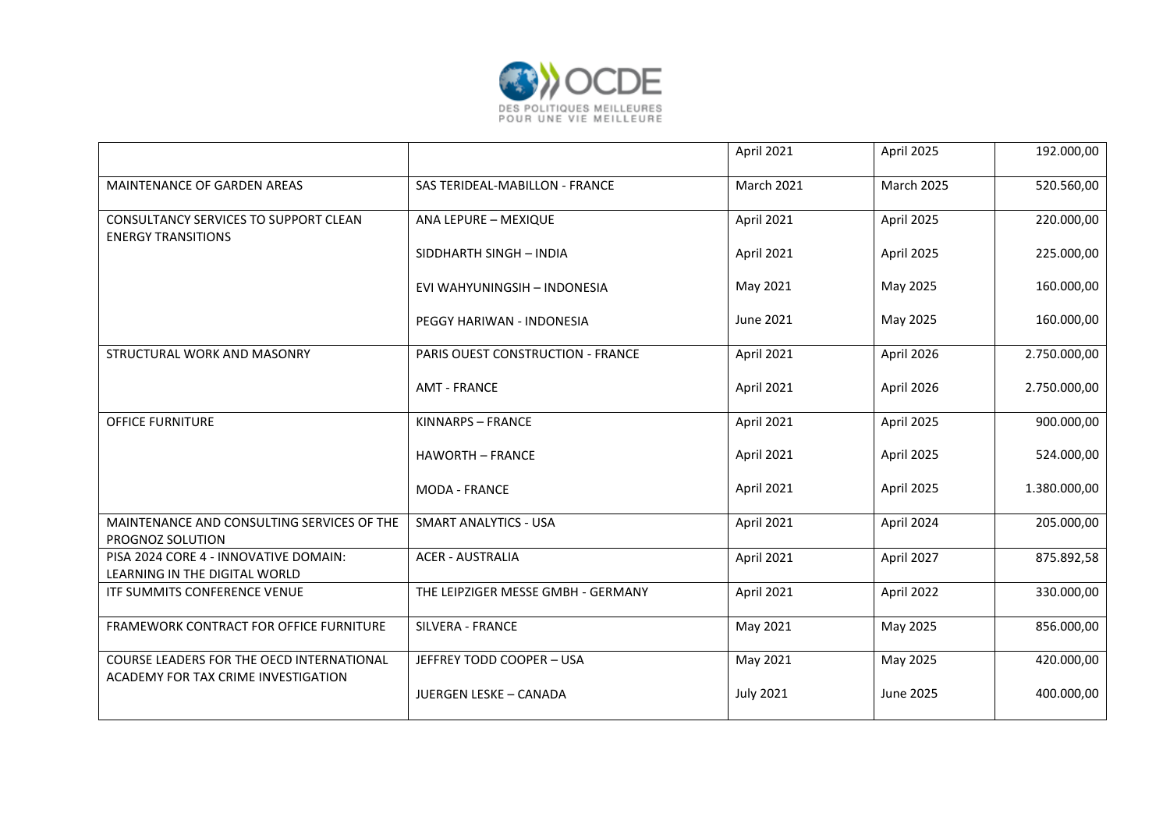

|                                                                                  |                                          | April 2021       | April 2025        | 192.000,00   |
|----------------------------------------------------------------------------------|------------------------------------------|------------------|-------------------|--------------|
| MAINTENANCE OF GARDEN AREAS                                                      | SAS TERIDEAL-MABILLON - FRANCE           | March 2021       | <b>March 2025</b> | 520.560,00   |
| CONSULTANCY SERVICES TO SUPPORT CLEAN<br><b>ENERGY TRANSITIONS</b>               | ANA LEPURE - MEXIQUE                     | April 2021       | April 2025        | 220.000,00   |
|                                                                                  | SIDDHARTH SINGH - INDIA                  | April 2021       | April 2025        | 225.000,00   |
|                                                                                  | EVI WAHYUNINGSIH - INDONESIA             | May 2021         | May 2025          | 160.000,00   |
|                                                                                  | PEGGY HARIWAN - INDONESIA                | June 2021        | May 2025          | 160.000,00   |
| STRUCTURAL WORK AND MASONRY                                                      | <b>PARIS OUEST CONSTRUCTION - FRANCE</b> | April 2021       | April 2026        | 2.750.000,00 |
|                                                                                  | <b>AMT - FRANCE</b>                      | April 2021       | April 2026        | 2.750.000,00 |
| <b>OFFICE FURNITURE</b>                                                          | KINNARPS - FRANCE                        | April 2021       | April 2025        | 900.000,00   |
|                                                                                  | <b>HAWORTH - FRANCE</b>                  | April 2021       | April 2025        | 524.000,00   |
|                                                                                  | <b>MODA - FRANCE</b>                     | April 2021       | April 2025        | 1.380.000,00 |
| MAINTENANCE AND CONSULTING SERVICES OF THE<br>PROGNOZ SOLUTION                   | <b>SMART ANALYTICS - USA</b>             | April 2021       | April 2024        | 205.000,00   |
| PISA 2024 CORE 4 - INNOVATIVE DOMAIN:<br>LEARNING IN THE DIGITAL WORLD           | <b>ACER - AUSTRALIA</b>                  | April 2021       | April 2027        | 875.892,58   |
| ITF SUMMITS CONFERENCE VENUE                                                     | THE LEIPZIGER MESSE GMBH - GERMANY       | April 2021       | April 2022        | 330.000,00   |
| FRAMEWORK CONTRACT FOR OFFICE FURNITURE                                          | SILVERA - FRANCE                         | May 2021         | May 2025          | 856.000,00   |
| COURSE LEADERS FOR THE OECD INTERNATIONAL<br>ACADEMY FOR TAX CRIME INVESTIGATION | JEFFREY TODD COOPER - USA                | May 2021         | May 2025          | 420.000,00   |
|                                                                                  | JUERGEN LESKE - CANADA                   | <b>July 2021</b> | June 2025         | 400.000,00   |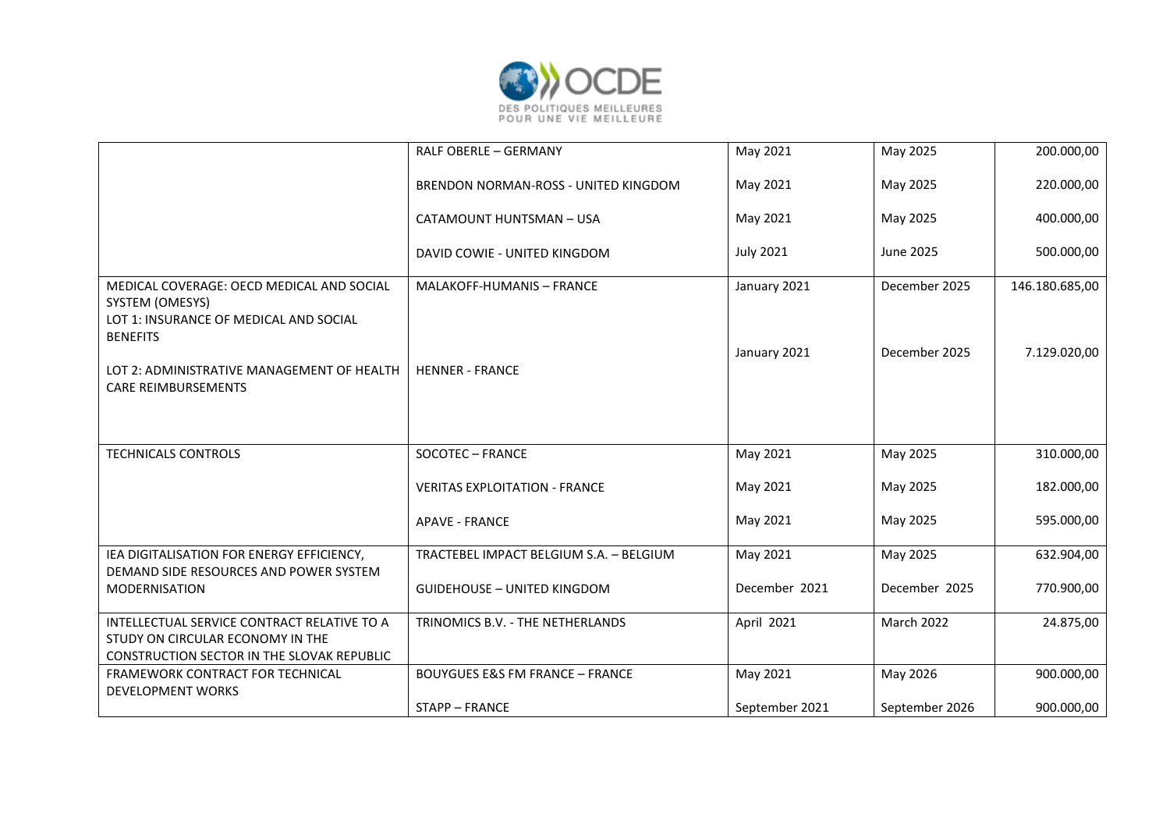

|                                                                                                                                      | RALF OBERLE - GERMANY                      | May 2021                     | May 2025                       | 200.000,00                     |
|--------------------------------------------------------------------------------------------------------------------------------------|--------------------------------------------|------------------------------|--------------------------------|--------------------------------|
|                                                                                                                                      | BRENDON NORMAN-ROSS - UNITED KINGDOM       | May 2021                     | May 2025                       | 220.000,00                     |
|                                                                                                                                      | CATAMOUNT HUNTSMAN - USA                   | May 2021                     | May 2025                       | 400.000,00                     |
|                                                                                                                                      | DAVID COWIE - UNITED KINGDOM               | <b>July 2021</b>             | June 2025                      | 500.000,00                     |
| MEDICAL COVERAGE: OECD MEDICAL AND SOCIAL<br>SYSTEM (OMESYS)<br>LOT 1: INSURANCE OF MEDICAL AND SOCIAL<br><b>BENEFITS</b>            | <b>MALAKOFF-HUMANIS - FRANCE</b>           | January 2021<br>January 2021 | December 2025<br>December 2025 | 146.180.685,00<br>7.129.020,00 |
| LOT 2: ADMINISTRATIVE MANAGEMENT OF HEALTH<br><b>CARE REIMBURSEMENTS</b>                                                             | <b>HENNER - FRANCE</b>                     |                              |                                |                                |
| <b>TECHNICALS CONTROLS</b>                                                                                                           | SOCOTEC - FRANCE                           | May 2021                     | May 2025                       | 310.000,00                     |
|                                                                                                                                      | <b>VERITAS EXPLOITATION - FRANCE</b>       | May 2021                     | May 2025                       | 182.000,00                     |
|                                                                                                                                      | <b>APAVE - FRANCE</b>                      | May 2021                     | May 2025                       | 595.000,00                     |
| IEA DIGITALISATION FOR ENERGY EFFICIENCY,                                                                                            | TRACTEBEL IMPACT BELGIUM S.A. - BELGIUM    | May 2021                     | May 2025                       | 632.904,00                     |
| DEMAND SIDE RESOURCES AND POWER SYSTEM<br><b>MODERNISATION</b>                                                                       | <b>GUIDEHOUSE - UNITED KINGDOM</b>         | December 2021                | December 2025                  | 770.900,00                     |
| INTELLECTUAL SERVICE CONTRACT RELATIVE TO A<br>STUDY ON CIRCULAR ECONOMY IN THE<br><b>CONSTRUCTION SECTOR IN THE SLOVAK REPUBLIC</b> | TRINOMICS B.V. - THE NETHERLANDS           | April 2021                   | March 2022                     | 24.875,00                      |
| FRAMEWORK CONTRACT FOR TECHNICAL<br><b>DEVELOPMENT WORKS</b>                                                                         | <b>BOUYGUES E&amp;S FM FRANCE - FRANCE</b> | May 2021                     | May 2026                       | 900.000,00                     |
|                                                                                                                                      | <b>STAPP - FRANCE</b>                      | September 2021               | September 2026                 | 900.000,00                     |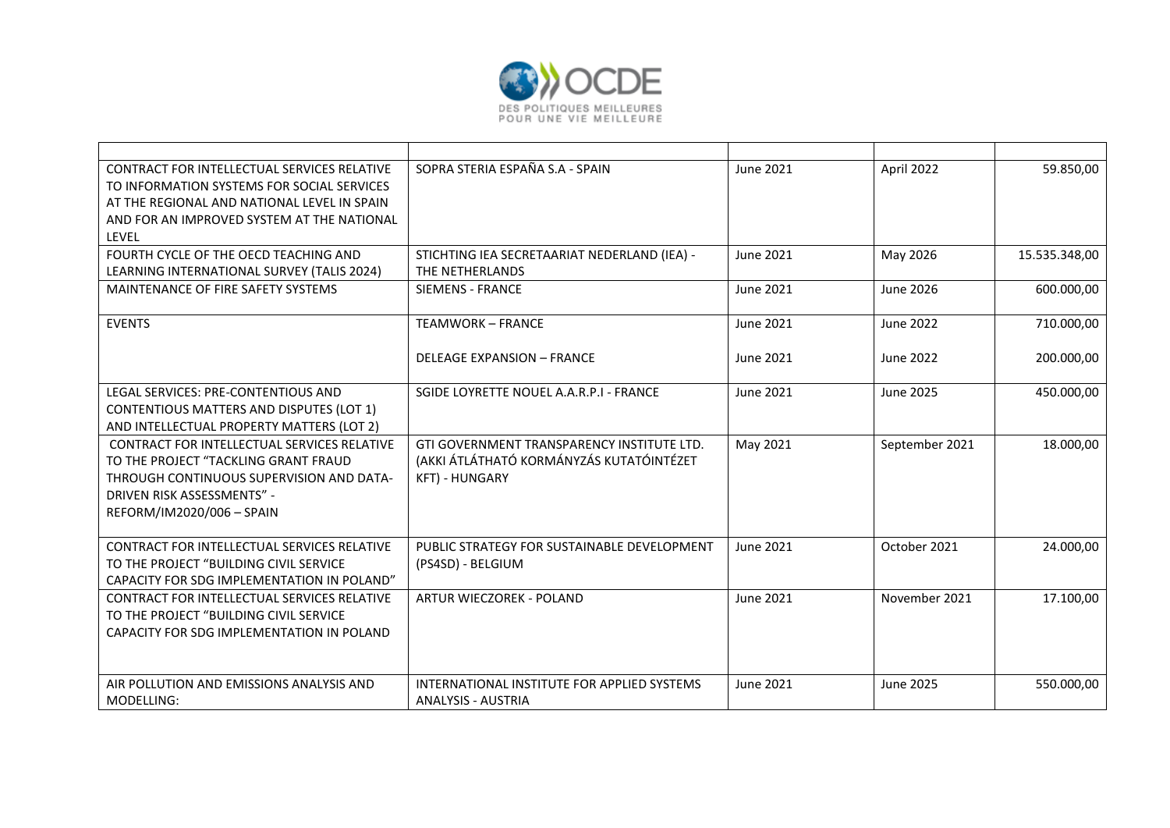

| CONTRACT FOR INTELLECTUAL SERVICES RELATIVE                                               | SOPRA STERIA ESPAÑA S.A - SPAIN              | June 2021        | April 2022       | 59.850,00     |
|-------------------------------------------------------------------------------------------|----------------------------------------------|------------------|------------------|---------------|
| TO INFORMATION SYSTEMS FOR SOCIAL SERVICES                                                |                                              |                  |                  |               |
| AT THE REGIONAL AND NATIONAL LEVEL IN SPAIN<br>AND FOR AN IMPROVED SYSTEM AT THE NATIONAL |                                              |                  |                  |               |
| <b>LEVEL</b>                                                                              |                                              |                  |                  |               |
| FOURTH CYCLE OF THE OECD TEACHING AND                                                     | STICHTING IEA SECRETAARIAT NEDERLAND (IEA) - | June 2021        | May 2026         | 15.535.348,00 |
| LEARNING INTERNATIONAL SURVEY (TALIS 2024)                                                | THE NETHERLANDS                              |                  |                  |               |
| MAINTENANCE OF FIRE SAFETY SYSTEMS                                                        | <b>SIEMENS - FRANCE</b>                      | <b>June 2021</b> | <b>June 2026</b> | 600.000,00    |
| <b>EVENTS</b>                                                                             | <b>TEAMWORK - FRANCE</b>                     | June 2021        | <b>June 2022</b> | 710.000,00    |
|                                                                                           |                                              |                  |                  |               |
|                                                                                           | <b>DELEAGE EXPANSION - FRANCE</b>            | June 2021        | June 2022        | 200.000,00    |
| LEGAL SERVICES: PRE-CONTENTIOUS AND                                                       | SGIDE LOYRETTE NOUEL A.A.R.P.I - FRANCE      | June 2021        | June 2025        | 450.000,00    |
| <b>CONTENTIOUS MATTERS AND DISPUTES (LOT 1)</b>                                           |                                              |                  |                  |               |
| AND INTELLECTUAL PROPERTY MATTERS (LOT 2)                                                 |                                              |                  |                  |               |
| <b>CONTRACT FOR INTELLECTUAL SERVICES RELATIVE</b>                                        | GTI GOVERNMENT TRANSPARENCY INSTITUTE LTD.   | May 2021         | September 2021   | 18.000,00     |
| TO THE PROJECT "TACKLING GRANT FRAUD                                                      | (AKKI ÁTLÁTHATÓ KORMÁNYZÁS KUTATÓINTÉZET     |                  |                  |               |
| THROUGH CONTINUOUS SUPERVISION AND DATA-                                                  | <b>KFT) - HUNGARY</b>                        |                  |                  |               |
| DRIVEN RISK ASSESSMENTS" -<br>REFORM/IM2020/006 - SPAIN                                   |                                              |                  |                  |               |
|                                                                                           |                                              |                  |                  |               |
| CONTRACT FOR INTELLECTUAL SERVICES RELATIVE                                               | PUBLIC STRATEGY FOR SUSTAINABLE DEVELOPMENT  | June 2021        | October 2021     | 24.000,00     |
| TO THE PROJECT "BUILDING CIVIL SERVICE                                                    | (PS4SD) - BELGIUM                            |                  |                  |               |
| CAPACITY FOR SDG IMPLEMENTATION IN POLAND"                                                |                                              |                  |                  |               |
| <b>CONTRACT FOR INTELLECTUAL SERVICES RELATIVE</b>                                        | ARTUR WIECZOREK - POLAND                     | June 2021        | November 2021    | 17.100,00     |
| TO THE PROJECT "BUILDING CIVIL SERVICE                                                    |                                              |                  |                  |               |
| CAPACITY FOR SDG IMPLEMENTATION IN POLAND                                                 |                                              |                  |                  |               |
|                                                                                           |                                              |                  |                  |               |
| AIR POLLUTION AND EMISSIONS ANALYSIS AND                                                  | INTERNATIONAL INSTITUTE FOR APPLIED SYSTEMS  | June 2021        | <b>June 2025</b> | 550.000,00    |
| MODELLING:                                                                                | <b>ANALYSIS - AUSTRIA</b>                    |                  |                  |               |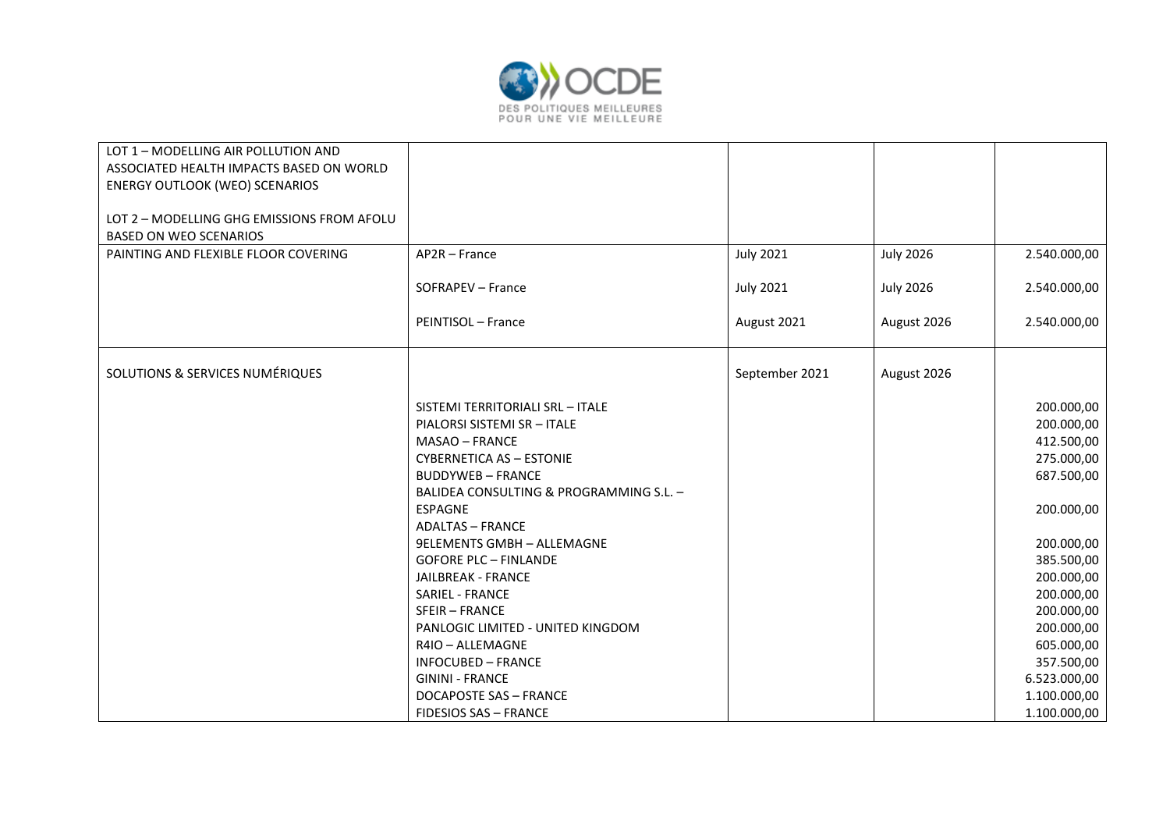

| LOT 1 - MODELLING AIR POLLUTION AND        |                                         |                  |                  |              |
|--------------------------------------------|-----------------------------------------|------------------|------------------|--------------|
| ASSOCIATED HEALTH IMPACTS BASED ON WORLD   |                                         |                  |                  |              |
| <b>ENERGY OUTLOOK (WEO) SCENARIOS</b>      |                                         |                  |                  |              |
|                                            |                                         |                  |                  |              |
| LOT 2 - MODELLING GHG EMISSIONS FROM AFOLU |                                         |                  |                  |              |
| <b>BASED ON WEO SCENARIOS</b>              |                                         |                  |                  |              |
| PAINTING AND FLEXIBLE FLOOR COVERING       | AP2R - France                           | <b>July 2021</b> | <b>July 2026</b> | 2.540.000,00 |
|                                            |                                         |                  |                  |              |
|                                            | SOFRAPEV - France                       | <b>July 2021</b> | <b>July 2026</b> | 2.540.000,00 |
|                                            |                                         |                  |                  |              |
|                                            | PEINTISOL - France                      | August 2021      | August 2026      | 2.540.000,00 |
|                                            |                                         |                  |                  |              |
|                                            |                                         |                  |                  |              |
| SOLUTIONS & SERVICES NUMÉRIQUES            |                                         | September 2021   | August 2026      |              |
|                                            |                                         |                  |                  |              |
|                                            | SISTEMI TERRITORIALI SRL - ITALE        |                  |                  | 200.000,00   |
|                                            | PIALORSI SISTEMI SR - ITALE             |                  |                  | 200.000,00   |
|                                            | <b>MASAO - FRANCE</b>                   |                  |                  | 412.500,00   |
|                                            | <b>CYBERNETICA AS - ESTONIE</b>         |                  |                  | 275.000,00   |
|                                            | <b>BUDDYWEB - FRANCE</b>                |                  |                  | 687.500,00   |
|                                            | BALIDEA CONSULTING & PROGRAMMING S.L. - |                  |                  |              |
|                                            | <b>ESPAGNE</b>                          |                  |                  | 200.000,00   |
|                                            | <b>ADALTAS - FRANCE</b>                 |                  |                  |              |
|                                            | <b>9ELEMENTS GMBH - ALLEMAGNE</b>       |                  |                  | 200.000,00   |
|                                            | <b>GOFORE PLC - FINLANDE</b>            |                  |                  | 385.500,00   |
|                                            | <b>JAILBREAK - FRANCE</b>               |                  |                  | 200.000,00   |
|                                            | SARIEL - FRANCE                         |                  |                  | 200.000,00   |
|                                            | <b>SFEIR-FRANCE</b>                     |                  |                  | 200.000,00   |
|                                            | PANLOGIC LIMITED - UNITED KINGDOM       |                  |                  | 200.000,00   |
|                                            | R4IO - ALLEMAGNE                        |                  |                  | 605.000,00   |
|                                            | <b>INFOCUBED - FRANCE</b>               |                  |                  | 357.500,00   |
|                                            | <b>GININI - FRANCE</b>                  |                  |                  | 6.523.000,00 |
|                                            | <b>DOCAPOSTE SAS - FRANCE</b>           |                  |                  | 1.100.000,00 |
|                                            | <b>FIDESIOS SAS - FRANCE</b>            |                  |                  | 1.100.000,00 |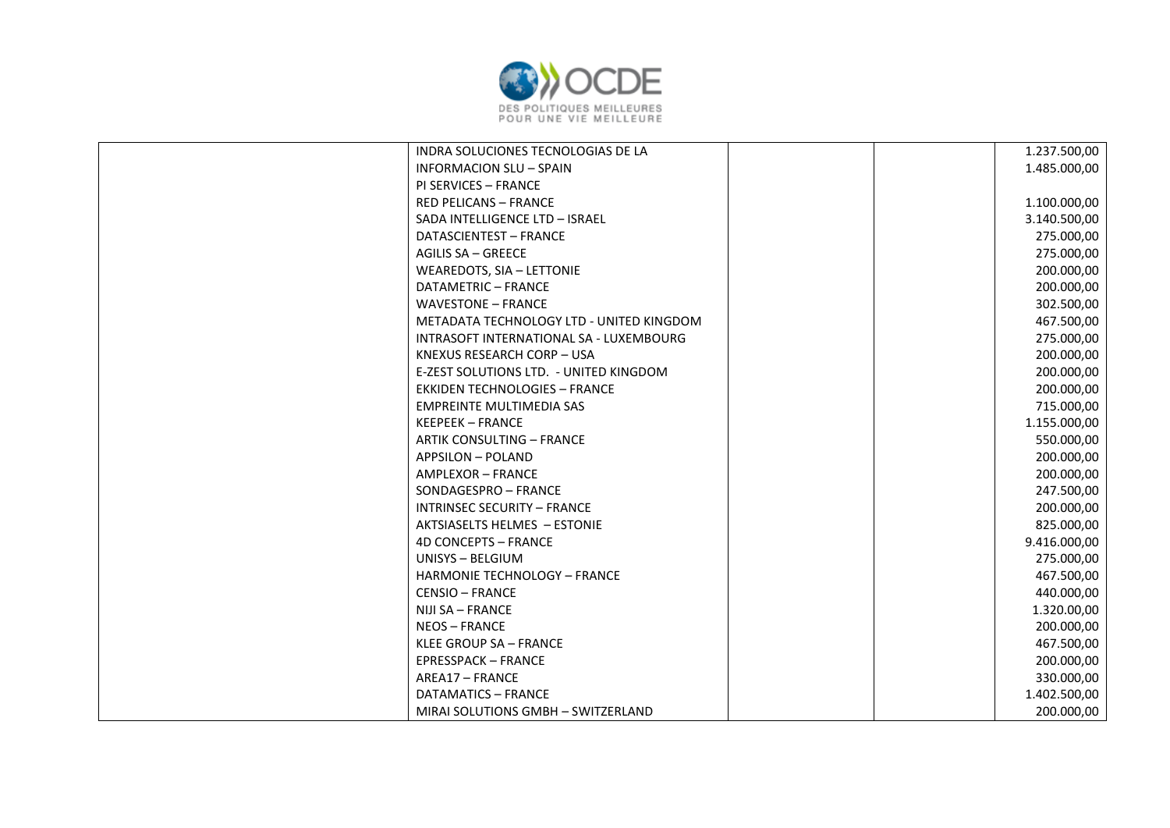

| INDRA SOLUCIONES TECNOLOGIAS DE LA       | 1.237.500,00 |
|------------------------------------------|--------------|
| <b>INFORMACION SLU - SPAIN</b>           | 1.485.000,00 |
| <b>PI SERVICES - FRANCE</b>              |              |
| <b>RED PELICANS - FRANCE</b>             | 1.100.000,00 |
| SADA INTELLIGENCE LTD - ISRAEL           | 3.140.500,00 |
| DATASCIENTEST - FRANCE                   | 275.000,00   |
| <b>AGILIS SA - GREECE</b>                | 275.000,00   |
| WEAREDOTS, SIA - LETTONIE                | 200.000,00   |
| DATAMETRIC - FRANCE                      | 200.000,00   |
| <b>WAVESTONE - FRANCE</b>                | 302.500,00   |
| METADATA TECHNOLOGY LTD - UNITED KINGDOM | 467.500,00   |
| INTRASOFT INTERNATIONAL SA - LUXEMBOURG  | 275.000,00   |
| KNEXUS RESEARCH CORP - USA               | 200.000,00   |
| E-ZEST SOLUTIONS LTD. - UNITED KINGDOM   | 200.000,00   |
| <b>EKKIDEN TECHNOLOGIES - FRANCE</b>     | 200.000,00   |
| <b>EMPREINTE MULTIMEDIA SAS</b>          | 715.000,00   |
| <b>KEEPEEK - FRANCE</b>                  | 1.155.000,00 |
| <b>ARTIK CONSULTING - FRANCE</b>         | 550.000,00   |
| <b>APPSILON - POLAND</b>                 | 200.000,00   |
| AMPLEXOR - FRANCE                        | 200.000,00   |
| SONDAGESPRO - FRANCE                     | 247.500,00   |
| <b>INTRINSEC SECURITY - FRANCE</b>       | 200.000,00   |
| AKTSIASELTS HELMES - ESTONIE             | 825.000,00   |
| <b>4D CONCEPTS - FRANCE</b>              | 9.416.000,00 |
| UNISYS - BELGIUM                         | 275.000,00   |
| HARMONIE TECHNOLOGY - FRANCE             | 467.500,00   |
| <b>CENSIO - FRANCE</b>                   | 440.000,00   |
| NIJI SA - FRANCE                         | 1.320.00,00  |
| <b>NEOS-FRANCE</b>                       | 200.000,00   |
| KLEE GROUP SA - FRANCE                   | 467.500,00   |
| <b>EPRESSPACK - FRANCE</b>               | 200.000,00   |
| AREA17 - FRANCE                          | 330.000,00   |
| DATAMATICS - FRANCE                      | 1.402.500,00 |
| MIRAI SOLUTIONS GMBH - SWITZERLAND       | 200.000,00   |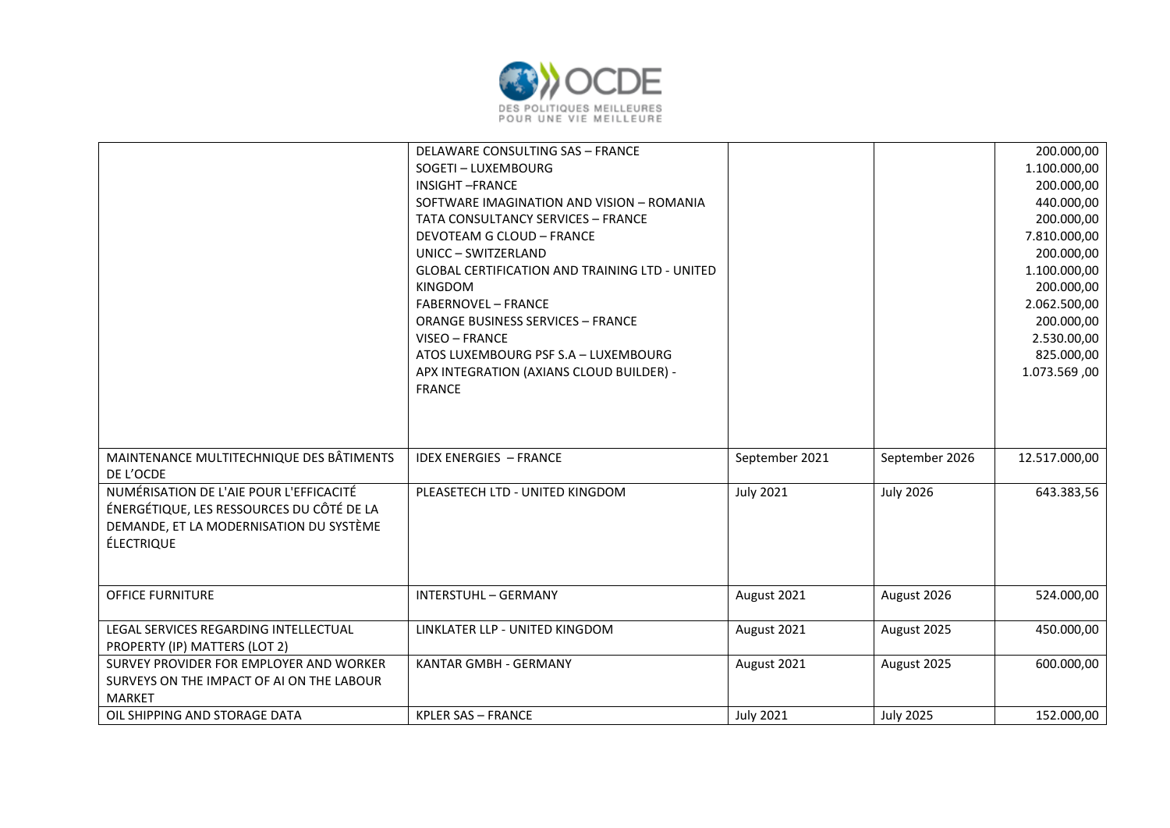

|                                                                                                                                                      | DELAWARE CONSULTING SAS - FRANCE<br>SOGETI - LUXEMBOURG<br><b>INSIGHT-FRANCE</b><br>SOFTWARE IMAGINATION AND VISION - ROMANIA<br><b>TATA CONSULTANCY SERVICES - FRANCE</b><br><b>DEVOTEAM G CLOUD - FRANCE</b><br>UNICC - SWITZERLAND<br><b>GLOBAL CERTIFICATION AND TRAINING LTD - UNITED</b><br><b>KINGDOM</b><br><b>FABERNOVEL - FRANCE</b><br><b>ORANGE BUSINESS SERVICES - FRANCE</b><br>VISEO - FRANCE<br>ATOS LUXEMBOURG PSF S.A - LUXEMBOURG<br>APX INTEGRATION (AXIANS CLOUD BUILDER) -<br><b>FRANCE</b> |                  |                  | 200.000,00<br>1.100.000,00<br>200.000,00<br>440.000,00<br>200.000,00<br>7.810.000,00<br>200.000,00<br>1.100.000,00<br>200.000,00<br>2.062.500,00<br>200.000,00<br>2.530.00,00<br>825.000,00<br>1.073.569,00 |
|------------------------------------------------------------------------------------------------------------------------------------------------------|-------------------------------------------------------------------------------------------------------------------------------------------------------------------------------------------------------------------------------------------------------------------------------------------------------------------------------------------------------------------------------------------------------------------------------------------------------------------------------------------------------------------|------------------|------------------|-------------------------------------------------------------------------------------------------------------------------------------------------------------------------------------------------------------|
| MAINTENANCE MULTITECHNIQUE DES BÂTIMENTS<br>DE L'OCDE                                                                                                | <b>IDEX ENERGIES - FRANCE</b>                                                                                                                                                                                                                                                                                                                                                                                                                                                                                     | September 2021   | September 2026   | 12.517.000,00                                                                                                                                                                                               |
| NUMÉRISATION DE L'AIE POUR L'EFFICACITÉ<br>ÉNERGÉTIQUE, LES RESSOURCES DU CÔTÉ DE LA<br>DEMANDE, ET LA MODERNISATION DU SYSTÈME<br><b>ÉLECTRIQUE</b> | PLEASETECH LTD - UNITED KINGDOM                                                                                                                                                                                                                                                                                                                                                                                                                                                                                   | <b>July 2021</b> | <b>July 2026</b> | 643.383,56                                                                                                                                                                                                  |
| <b>OFFICE FURNITURE</b>                                                                                                                              | <b>INTERSTUHL - GERMANY</b>                                                                                                                                                                                                                                                                                                                                                                                                                                                                                       | August 2021      | August 2026      | 524.000,00                                                                                                                                                                                                  |
| LEGAL SERVICES REGARDING INTELLECTUAL<br>PROPERTY (IP) MATTERS (LOT 2)                                                                               | LINKLATER LLP - UNITED KINGDOM                                                                                                                                                                                                                                                                                                                                                                                                                                                                                    | August 2021      | August 2025      | 450.000,00                                                                                                                                                                                                  |
| SURVEY PROVIDER FOR EMPLOYER AND WORKER<br>SURVEYS ON THE IMPACT OF AI ON THE LABOUR<br><b>MARKET</b>                                                | <b>KANTAR GMBH - GERMANY</b>                                                                                                                                                                                                                                                                                                                                                                                                                                                                                      | August 2021      | August 2025      | 600.000,00                                                                                                                                                                                                  |
| OIL SHIPPING AND STORAGE DATA                                                                                                                        | <b>KPLER SAS - FRANCE</b>                                                                                                                                                                                                                                                                                                                                                                                                                                                                                         | <b>July 2021</b> | <b>July 2025</b> | 152.000,00                                                                                                                                                                                                  |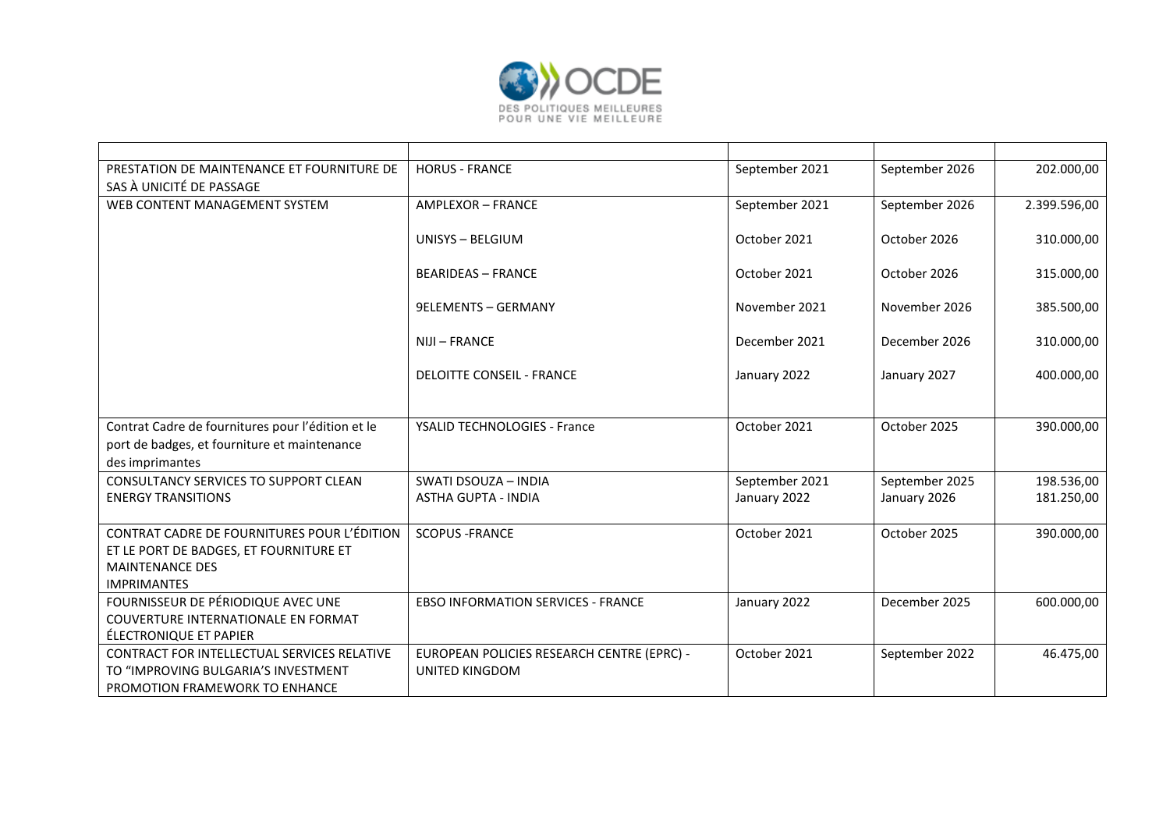

| PRESTATION DE MAINTENANCE ET FOURNITURE DE        | <b>HORUS - FRANCE</b>                      | September 2021 | September 2026 | 202.000,00   |
|---------------------------------------------------|--------------------------------------------|----------------|----------------|--------------|
| SAS À UNICITÉ DE PASSAGE                          |                                            |                |                |              |
| WEB CONTENT MANAGEMENT SYSTEM                     | AMPLEXOR - FRANCE                          | September 2021 | September 2026 | 2.399.596,00 |
|                                                   | UNISYS - BELGIUM                           | October 2021   | October 2026   | 310.000,00   |
|                                                   |                                            |                |                |              |
|                                                   | <b>BEARIDEAS - FRANCE</b>                  | October 2021   | October 2026   | 315.000,00   |
|                                                   | <b>9ELEMENTS - GERMANY</b>                 | November 2021  | November 2026  | 385.500,00   |
|                                                   |                                            |                |                |              |
|                                                   | NIJI - FRANCE                              | December 2021  | December 2026  | 310.000,00   |
|                                                   | <b>DELOITTE CONSEIL - FRANCE</b>           | January 2022   | January 2027   | 400.000,00   |
|                                                   |                                            |                |                |              |
| Contrat Cadre de fournitures pour l'édition et le | YSALID TECHNOLOGIES - France               | October 2021   | October 2025   | 390.000,00   |
| port de badges, et fourniture et maintenance      |                                            |                |                |              |
| des imprimantes                                   |                                            |                |                |              |
| CONSULTANCY SERVICES TO SUPPORT CLEAN             | SWATI DSOUZA - INDIA                       | September 2021 | September 2025 | 198.536,00   |
| <b>ENERGY TRANSITIONS</b>                         | <b>ASTHA GUPTA - INDIA</b>                 | January 2022   | January 2026   | 181.250,00   |
|                                                   |                                            |                |                |              |
| CONTRAT CADRE DE FOURNITURES POUR L'ÉDITION       | <b>SCOPUS - FRANCE</b>                     | October 2021   | October 2025   | 390.000,00   |
| ET LE PORT DE BADGES, ET FOURNITURE ET            |                                            |                |                |              |
| <b>MAINTENANCE DES</b>                            |                                            |                |                |              |
| <b>IMPRIMANTES</b>                                |                                            |                |                |              |
| FOURNISSEUR DE PÉRIODIQUE AVEC UNE                | <b>EBSO INFORMATION SERVICES - FRANCE</b>  | January 2022   | December 2025  | 600.000,00   |
| COUVERTURE INTERNATIONALE EN FORMAT               |                                            |                |                |              |
| ÉLECTRONIQUE ET PAPIER                            |                                            |                |                |              |
| CONTRACT FOR INTELLECTUAL SERVICES RELATIVE       | EUROPEAN POLICIES RESEARCH CENTRE (EPRC) - | October 2021   | September 2022 | 46.475,00    |
| TO "IMPROVING BULGARIA'S INVESTMENT               | <b>UNITED KINGDOM</b>                      |                |                |              |
| PROMOTION FRAMEWORK TO ENHANCE                    |                                            |                |                |              |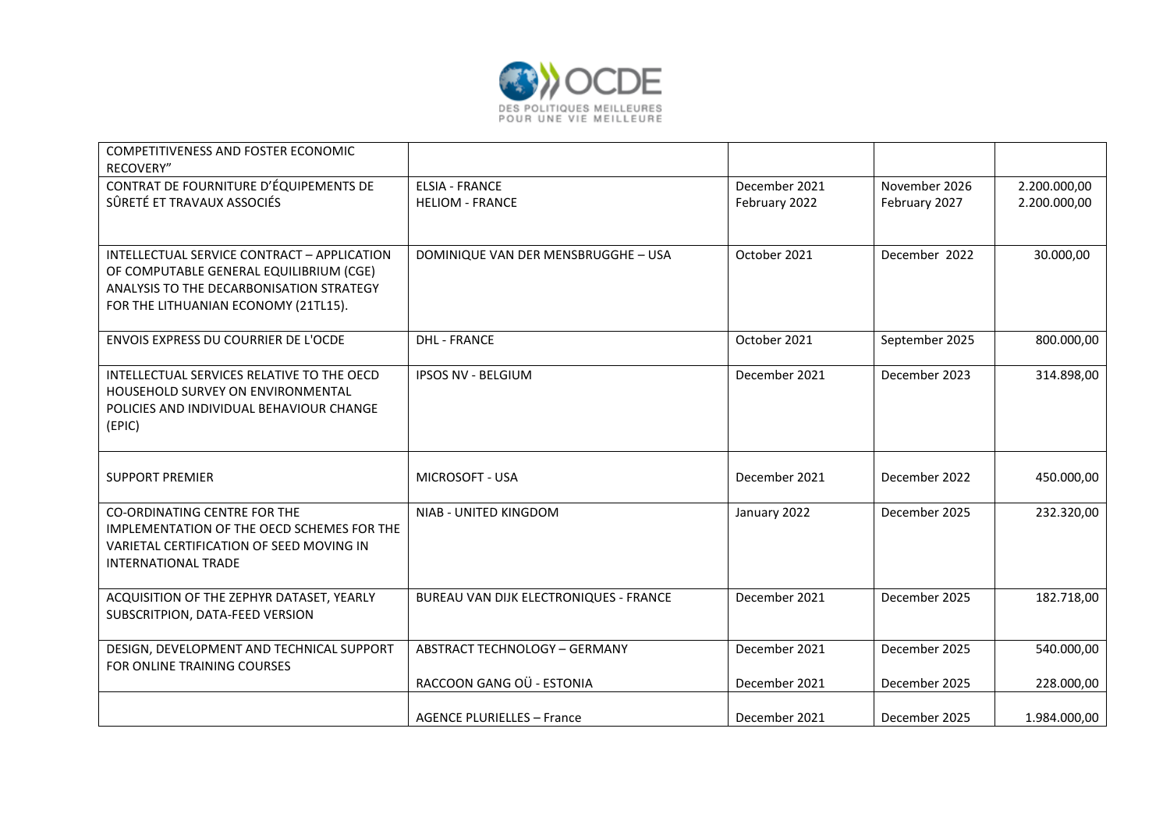

| COMPETITIVENESS AND FOSTER ECONOMIC<br>RECOVERY"                                                                                                                           |                                                 |                                |                                |                              |
|----------------------------------------------------------------------------------------------------------------------------------------------------------------------------|-------------------------------------------------|--------------------------------|--------------------------------|------------------------------|
| CONTRAT DE FOURNITURE D'ÉQUIPEMENTS DE<br>SÛRETÉ ET TRAVAUX ASSOCIÉS                                                                                                       | <b>ELSIA - FRANCE</b><br><b>HELIOM - FRANCE</b> | December 2021<br>February 2022 | November 2026<br>February 2027 | 2.200.000,00<br>2.200.000,00 |
| INTELLECTUAL SERVICE CONTRACT - APPLICATION<br>OF COMPUTABLE GENERAL EQUILIBRIUM (CGE)<br>ANALYSIS TO THE DECARBONISATION STRATEGY<br>FOR THE LITHUANIAN ECONOMY (21TL15). | DOMINIQUE VAN DER MENSBRUGGHE - USA             | October 2021                   | December 2022                  | 30.000,00                    |
| ENVOIS EXPRESS DU COURRIER DE L'OCDE                                                                                                                                       | <b>DHL - FRANCE</b>                             | October 2021                   | September 2025                 | 800.000,00                   |
| INTELLECTUAL SERVICES RELATIVE TO THE OECD<br><b>HOUSEHOLD SURVEY ON ENVIRONMENTAL</b><br>POLICIES AND INDIVIDUAL BEHAVIOUR CHANGE<br>(EPIC)                               | <b>IPSOS NV - BELGIUM</b>                       | December 2021                  | December 2023                  | 314.898,00                   |
| <b>SUPPORT PREMIER</b>                                                                                                                                                     | <b>MICROSOFT - USA</b>                          | December 2021                  | December 2022                  | 450.000,00                   |
| <b>CO-ORDINATING CENTRE FOR THE</b><br>IMPLEMENTATION OF THE OECD SCHEMES FOR THE<br>VARIETAL CERTIFICATION OF SEED MOVING IN<br><b>INTERNATIONAL TRADE</b>                | NIAB - UNITED KINGDOM                           | January 2022                   | December 2025                  | 232.320,00                   |
| ACQUISITION OF THE ZEPHYR DATASET, YEARLY<br>SUBSCRITPION, DATA-FEED VERSION                                                                                               | BUREAU VAN DIJK ELECTRONIQUES - FRANCE          | December 2021                  | December 2025                  | 182.718,00                   |
| DESIGN, DEVELOPMENT AND TECHNICAL SUPPORT<br>FOR ONLINE TRAINING COURSES                                                                                                   | <b>ABSTRACT TECHNOLOGY - GERMANY</b>            | December 2021                  | December 2025                  | 540.000,00                   |
|                                                                                                                                                                            | RACCOON GANG OÜ - ESTONIA                       | December 2021                  | December 2025                  | 228.000,00                   |
|                                                                                                                                                                            | <b>AGENCE PLURIELLES - France</b>               | December 2021                  | December 2025                  | 1.984.000,00                 |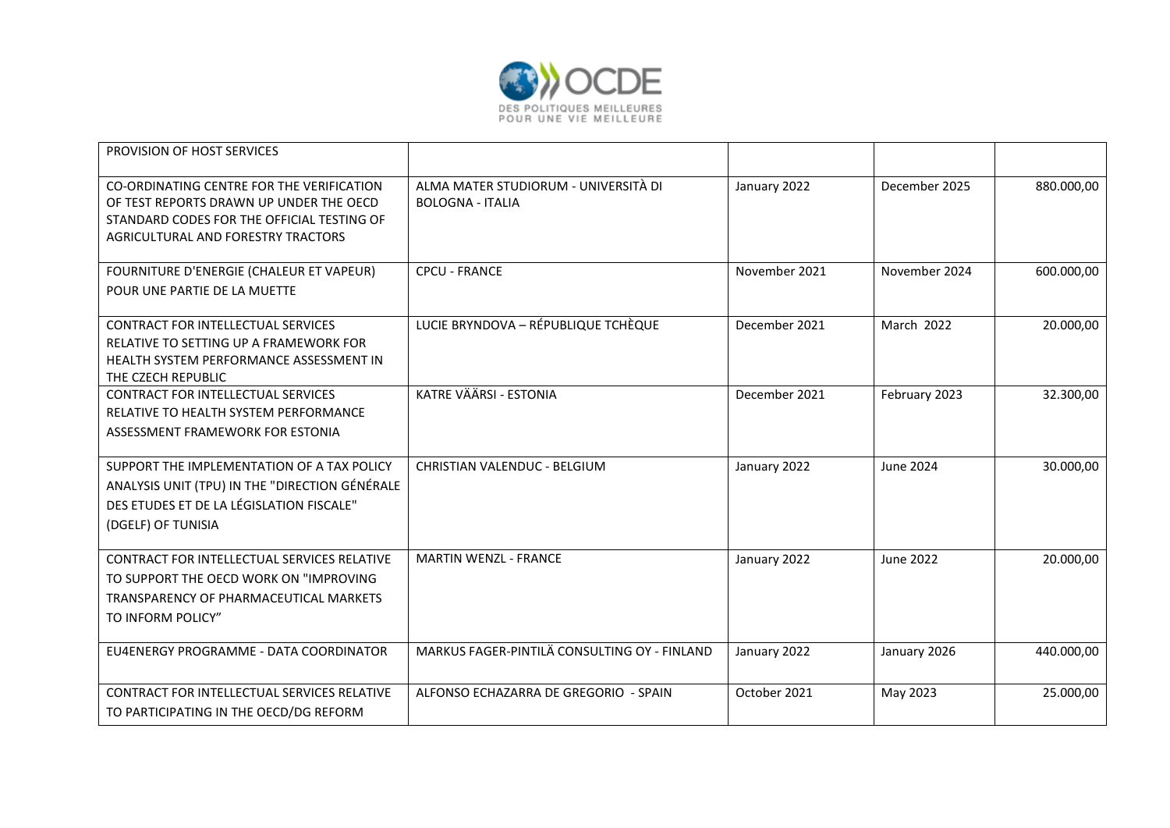

| PROVISION OF HOST SERVICES                                                                                                                                               |                                                                 |               |                   |            |
|--------------------------------------------------------------------------------------------------------------------------------------------------------------------------|-----------------------------------------------------------------|---------------|-------------------|------------|
| CO-ORDINATING CENTRE FOR THE VERIFICATION<br>OF TEST REPORTS DRAWN UP UNDER THE OECD<br>STANDARD CODES FOR THE OFFICIAL TESTING OF<br>AGRICULTURAL AND FORESTRY TRACTORS | ALMA MATER STUDIORUM - UNIVERSITÀ DI<br><b>BOLOGNA - ITALIA</b> | January 2022  | December 2025     | 880.000,00 |
| FOURNITURE D'ENERGIE (CHALEUR ET VAPEUR)<br>POUR UNE PARTIE DE LA MUETTE                                                                                                 | <b>CPCU - FRANCE</b>                                            | November 2021 | November 2024     | 600.000,00 |
| CONTRACT FOR INTELLECTUAL SERVICES<br>RELATIVE TO SETTING UP A FRAMEWORK FOR<br>HEALTH SYSTEM PERFORMANCE ASSESSMENT IN<br>THE CZECH REPUBLIC                            | LUCIE BRYNDOVA - RÉPUBLIQUE TCHÈQUE                             | December 2021 | <b>March 2022</b> | 20.000,00  |
| CONTRACT FOR INTELLECTUAL SERVICES<br>RELATIVE TO HEALTH SYSTEM PERFORMANCE<br>ASSESSMENT FRAMEWORK FOR ESTONIA                                                          | KATRE VÄÄRSI - ESTONIA                                          | December 2021 | February 2023     | 32.300,00  |
| SUPPORT THE IMPLEMENTATION OF A TAX POLICY<br>ANALYSIS UNIT (TPU) IN THE "DIRECTION GÉNÉRALE<br>DES ETUDES ET DE LA LÉGISLATION FISCALE"<br>(DGELF) OF TUNISIA           | CHRISTIAN VALENDUC - BELGIUM                                    | January 2022  | June 2024         | 30.000,00  |
| CONTRACT FOR INTELLECTUAL SERVICES RELATIVE<br>TO SUPPORT THE OECD WORK ON "IMPROVING<br>TRANSPARENCY OF PHARMACEUTICAL MARKETS<br>TO INFORM POLICY"                     | <b>MARTIN WENZL - FRANCE</b>                                    | January 2022  | <b>June 2022</b>  | 20.000,00  |
| EU4ENERGY PROGRAMME - DATA COORDINATOR                                                                                                                                   | MARKUS FAGER-PINTILÄ CONSULTING OY - FINLAND                    | January 2022  | January 2026      | 440.000,00 |
| CONTRACT FOR INTELLECTUAL SERVICES RELATIVE<br>TO PARTICIPATING IN THE OECD/DG REFORM                                                                                    | ALFONSO ECHAZARRA DE GREGORIO - SPAIN                           | October 2021  | May 2023          | 25.000,00  |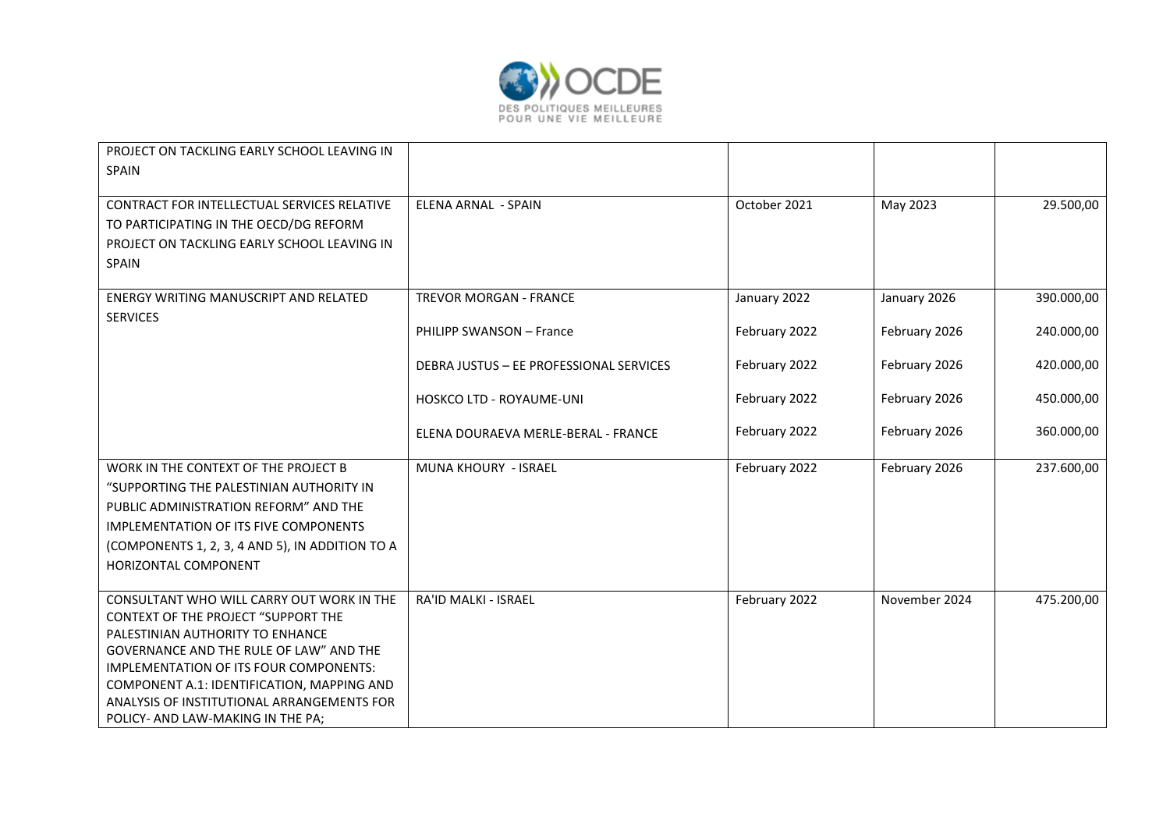

| PROJECT ON TACKLING EARLY SCHOOL LEAVING IN<br>SPAIN                                     |                                         |               |               |            |
|------------------------------------------------------------------------------------------|-----------------------------------------|---------------|---------------|------------|
|                                                                                          |                                         |               |               |            |
| CONTRACT FOR INTELLECTUAL SERVICES RELATIVE                                              | ELENA ARNAL - SPAIN                     | October 2021  | May 2023      | 29.500,00  |
| TO PARTICIPATING IN THE OECD/DG REFORM                                                   |                                         |               |               |            |
| PROJECT ON TACKLING EARLY SCHOOL LEAVING IN                                              |                                         |               |               |            |
| SPAIN                                                                                    |                                         |               |               |            |
| ENERGY WRITING MANUSCRIPT AND RELATED<br><b>SERVICES</b>                                 | <b>TREVOR MORGAN - FRANCE</b>           | January 2022  | January 2026  | 390.000,00 |
|                                                                                          | PHILIPP SWANSON - France                | February 2022 | February 2026 | 240.000,00 |
|                                                                                          | DEBRA JUSTUS - EE PROFESSIONAL SERVICES | February 2022 | February 2026 | 420.000,00 |
|                                                                                          | <b>HOSKCO LTD - ROYAUME-UNI</b>         | February 2022 | February 2026 | 450.000,00 |
|                                                                                          | ELENA DOURAEVA MERLE-BERAL - FRANCE     | February 2022 | February 2026 | 360.000,00 |
| WORK IN THE CONTEXT OF THE PROJECT B                                                     | MUNA KHOURY - ISRAEL                    | February 2022 | February 2026 | 237.600,00 |
| "SUPPORTING THE PALESTINIAN AUTHORITY IN                                                 |                                         |               |               |            |
| PUBLIC ADMINISTRATION REFORM" AND THE                                                    |                                         |               |               |            |
| <b>IMPLEMENTATION OF ITS FIVE COMPONENTS</b>                                             |                                         |               |               |            |
| (COMPONENTS 1, 2, 3, 4 AND 5), IN ADDITION TO A                                          |                                         |               |               |            |
| HORIZONTAL COMPONENT                                                                     |                                         |               |               |            |
|                                                                                          |                                         |               |               |            |
| CONSULTANT WHO WILL CARRY OUT WORK IN THE                                                | <b>RA'ID MALKI - ISRAEL</b>             | February 2022 | November 2024 | 475.200,00 |
| <b>CONTEXT OF THE PROJECT "SUPPORT THE</b>                                               |                                         |               |               |            |
| PALESTINIAN AUTHORITY TO ENHANCE                                                         |                                         |               |               |            |
| GOVERNANCE AND THE RULE OF LAW" AND THE                                                  |                                         |               |               |            |
| <b>IMPLEMENTATION OF ITS FOUR COMPONENTS:</b>                                            |                                         |               |               |            |
| COMPONENT A.1: IDENTIFICATION, MAPPING AND<br>ANALYSIS OF INSTITUTIONAL ARRANGEMENTS FOR |                                         |               |               |            |
| POLICY- AND LAW-MAKING IN THE PA;                                                        |                                         |               |               |            |